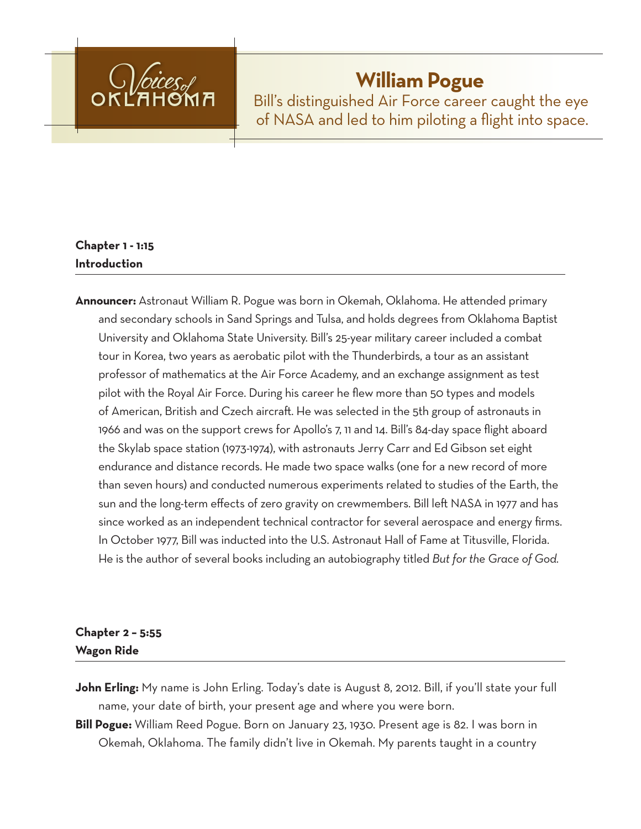

# **William Pogue**

Bill's distinguished Air Force career caught the eye of NASA and led to him piloting a flight into space.

## **Chapter 1 - 1:15 Introduction**

**Announcer:** Astronaut William R. Pogue was born in Okemah, Oklahoma. He attended primary and secondary schools in Sand Springs and Tulsa, and holds degrees from Oklahoma Baptist University and Oklahoma State University. Bill's 25-year military career included a combat tour in Korea, two years as aerobatic pilot with the Thunderbirds, a tour as an assistant professor of mathematics at the Air Force Academy, and an exchange assignment as test pilot with the Royal Air Force. During his career he flew more than 50 types and models of American, British and Czech aircraft. He was selected in the 5th group of astronauts in 1966 and was on the support crews for Apollo's 7, 11 and 14. Bill's 84-day space flight aboard the Skylab space station (1973-1974), with astronauts Jerry Carr and Ed Gibson set eight endurance and distance records. He made two space walks (one for a new record of more than seven hours) and conducted numerous experiments related to studies of the Earth, the sun and the long-term effects of zero gravity on crewmembers. Bill left NASA in 1977 and has since worked as an independent technical contractor for several aerospace and energy firms. In October 1977, Bill was inducted into the U.S. Astronaut Hall of Fame at Titusville, Florida. He is the author of several books including an autobiography titled *But for the Grace of God.*

# **Chapter 2 – 5:55 Wagon Ride**

- **John Erling:** My name is John Erling. Today's date is August 8, 2012. Bill, if you'll state your full name, your date of birth, your present age and where you were born.
- **Bill Pogue:** William Reed Pogue. Born on January 23, 1930. Present age is 82. I was born in Okemah, Oklahoma. The family didn't live in Okemah. My parents taught in a country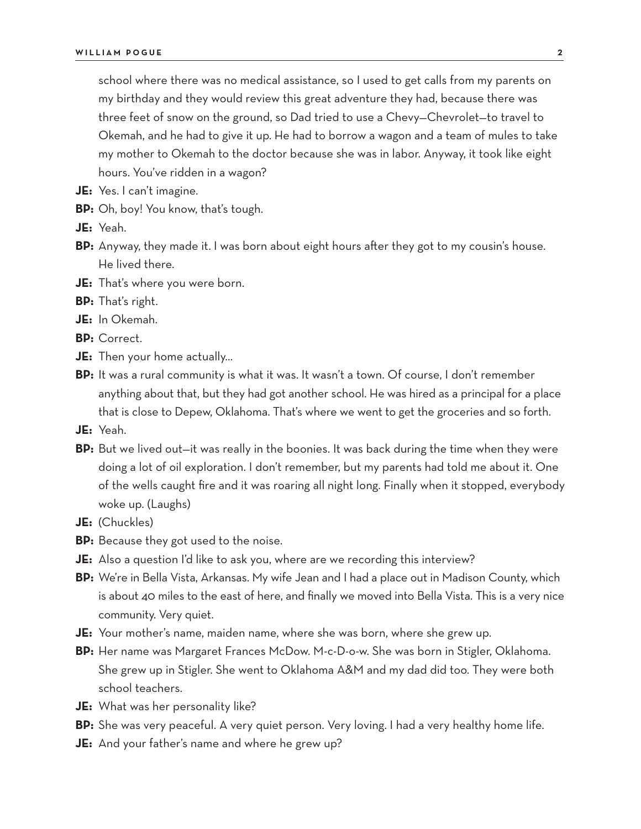school where there was no medical assistance, so I used to get calls from my parents on my birthday and they would review this great adventure they had, because there was three feet of snow on the ground, so Dad tried to use a Chevy—Chevrolet—to travel to Okemah, and he had to give it up. He had to borrow a wagon and a team of mules to take my mother to Okemah to the doctor because she was in labor. Anyway, it took like eight hours. You've ridden in a wagon?

- **JE:** Yes. I can't imagine.
- **BP:** Oh, boy! You know, that's tough.
- **JE:** Yeah.
- **BP:** Anyway, they made it. I was born about eight hours after they got to my cousin's house. He lived there.
- **JE:** That's where you were born.
- **BP:** That's right.
- **JE:** In Okemah.
- **BP:** Correct.
- **JE:** Then your home actually…
- **BP:** It was a rural community is what it was. It wasn't a town. Of course, I don't remember anything about that, but they had got another school. He was hired as a principal for a place that is close to Depew, Oklahoma. That's where we went to get the groceries and so forth.
- **JE:** Yeah.
- **BP:** But we lived out—it was really in the boonies. It was back during the time when they were doing a lot of oil exploration. I don't remember, but my parents had told me about it. One of the wells caught fire and it was roaring all night long. Finally when it stopped, everybody woke up. (Laughs)
- **JE:** (Chuckles)
- **BP:** Because they got used to the noise.
- **JE:** Also a question I'd like to ask you, where are we recording this interview?
- **BP:** We're in Bella Vista, Arkansas. My wife Jean and I had a place out in Madison County, which is about 40 miles to the east of here, and finally we moved into Bella Vista. This is a very nice community. Very quiet.
- **JE:** Your mother's name, maiden name, where she was born, where she grew up.
- **BP:** Her name was Margaret Frances McDow. M-c-D-o-w. She was born in Stigler, Oklahoma. She grew up in Stigler. She went to Oklahoma A&M and my dad did too. They were both school teachers.
- **JE:** What was her personality like?
- **BP:** She was very peaceful. A very quiet person. Very loving. I had a very healthy home life.
- **JE:** And your father's name and where he grew up?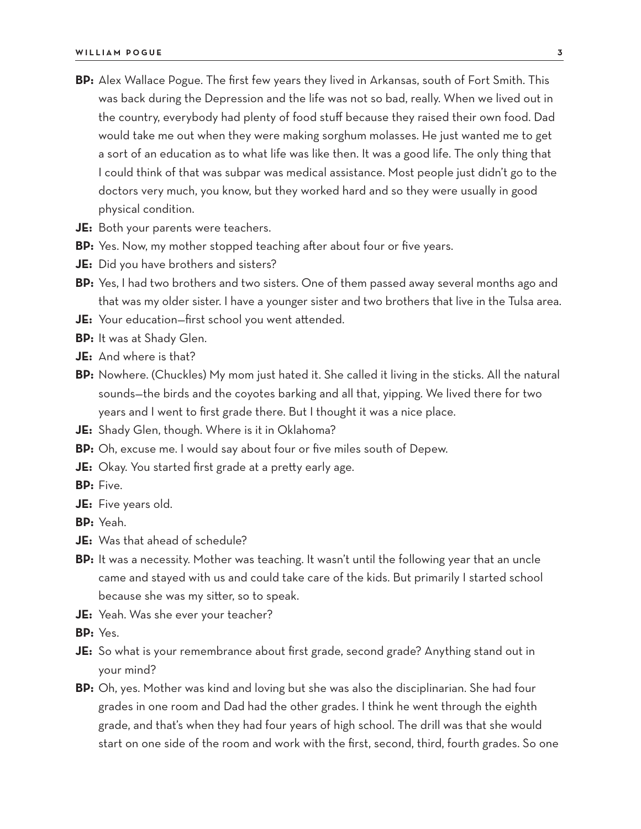- **BP:** Alex Wallace Pogue. The first few years they lived in Arkansas, south of Fort Smith. This was back during the Depression and the life was not so bad, really. When we lived out in the country, everybody had plenty of food stuff because they raised their own food. Dad would take me out when they were making sorghum molasses. He just wanted me to get a sort of an education as to what life was like then. It was a good life. The only thing that I could think of that was subpar was medical assistance. Most people just didn't go to the doctors very much, you know, but they worked hard and so they were usually in good physical condition.
- **JE:** Both your parents were teachers.
- **BP:** Yes. Now, my mother stopped teaching after about four or five years.
- **JE:** Did you have brothers and sisters?
- **BP:** Yes, I had two brothers and two sisters. One of them passed away several months ago and that was my older sister. I have a younger sister and two brothers that live in the Tulsa area.
- **JE:** Your education—first school you went attended.
- **BP:** It was at Shady Glen.
- **JE:** And where is that?
- **BP:** Nowhere. (Chuckles) My mom just hated it. She called it living in the sticks. All the natural sounds—the birds and the coyotes barking and all that, yipping. We lived there for two years and I went to first grade there. But I thought it was a nice place.
- **JE:** Shady Glen, though. Where is it in Oklahoma?
- **BP:** Oh, excuse me. I would say about four or five miles south of Depew.
- **JE:** Okay. You started first grade at a pretty early age.
- **BP:** Five.
- **JE:** Five years old.
- **BP:** Yeah.
- **JE:** Was that ahead of schedule?
- **BP:** It was a necessity. Mother was teaching. It wasn't until the following year that an uncle came and stayed with us and could take care of the kids. But primarily I started school because she was my sitter, so to speak.
- **JE:** Yeah. Was she ever your teacher?
- **BP:** Yes.
- **JE:** So what is your remembrance about first grade, second grade? Anything stand out in your mind?
- **BP:** Oh, yes. Mother was kind and loving but she was also the disciplinarian. She had four grades in one room and Dad had the other grades. I think he went through the eighth grade, and that's when they had four years of high school. The drill was that she would start on one side of the room and work with the first, second, third, fourth grades. So one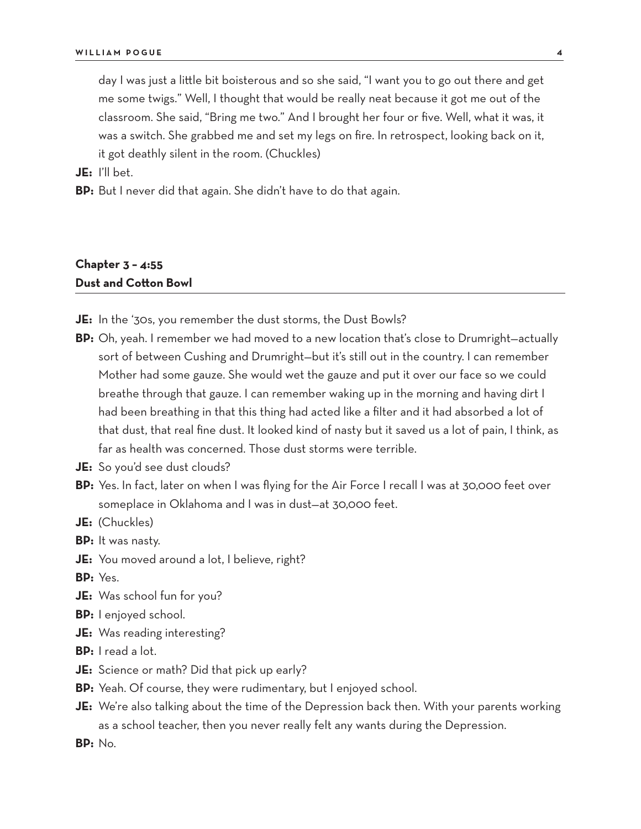day I was just a little bit boisterous and so she said, "I want you to go out there and get me some twigs." Well, I thought that would be really neat because it got me out of the classroom. She said, "Bring me two." And I brought her four or five. Well, what it was, it was a switch. She grabbed me and set my legs on fire. In retrospect, looking back on it, it got deathly silent in the room. (Chuckles)

**JE:** I'll bet.

**BP:** But I never did that again. She didn't have to do that again.

## **Chapter 3 – 4:55 Dust and Cotton Bowl**

- **JE:** In the '30s, you remember the dust storms, the Dust Bowls?
- **BP:** Oh, yeah. I remember we had moved to a new location that's close to Drumright—actually sort of between Cushing and Drumright—but it's still out in the country. I can remember Mother had some gauze. She would wet the gauze and put it over our face so we could breathe through that gauze. I can remember waking up in the morning and having dirt I had been breathing in that this thing had acted like a filter and it had absorbed a lot of that dust, that real fine dust. It looked kind of nasty but it saved us a lot of pain, I think, as far as health was concerned. Those dust storms were terrible.
- **JE:** So you'd see dust clouds?
- **BP:** Yes. In fact, later on when I was flying for the Air Force I recall I was at 30,000 feet over someplace in Oklahoma and I was in dust—at 30,000 feet.
- **JE:** (Chuckles)
- **BP:** It was nasty.
- **JE:** You moved around a lot, I believe, right?
- **BP:** Yes.
- **JE:** Was school fun for you?
- **BP:** I enjoyed school.
- **JE:** Was reading interesting?
- **BP:** I read a lot.
- **JE:** Science or math? Did that pick up early?
- **BP:** Yeah. Of course, they were rudimentary, but I enjoyed school.
- **JE:** We're also talking about the time of the Depression back then. With your parents working as a school teacher, then you never really felt any wants during the Depression.
- **BP:** No.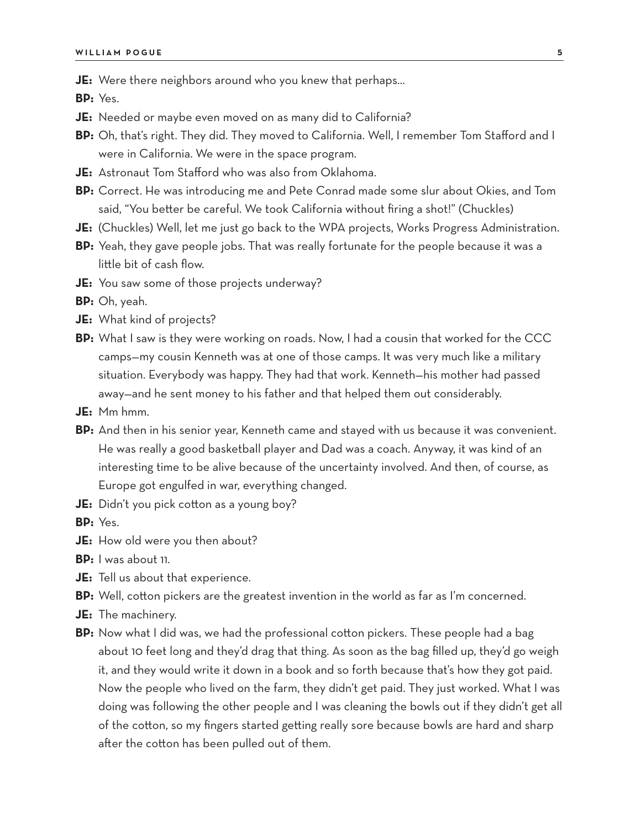**JE:** Were there neighbors around who you knew that perhaps…

**BP:** Yes.

- **JE:** Needed or maybe even moved on as many did to California?
- **BP:** Oh, that's right. They did. They moved to California. Well, I remember Tom Stafford and I were in California. We were in the space program.
- **JE:** Astronaut Tom Stafford who was also from Oklahoma.
- **BP:** Correct. He was introducing me and Pete Conrad made some slur about Okies, and Tom said, "You better be careful. We took California without firing a shot!" (Chuckles)
- **JE:** (Chuckles) Well, let me just go back to the WPA projects, Works Progress Administration.
- **BP:** Yeah, they gave people jobs. That was really fortunate for the people because it was a little bit of cash flow.
- **JE:** You saw some of those projects underway?

**BP:** Oh, yeah.

- **JE:** What kind of projects?
- **BP:** What I saw is they were working on roads. Now, I had a cousin that worked for the CCC camps—my cousin Kenneth was at one of those camps. It was very much like a military situation. Everybody was happy. They had that work. Kenneth—his mother had passed away—and he sent money to his father and that helped them out considerably.
- **JE:** Mm hmm.
- **BP:** And then in his senior year, Kenneth came and stayed with us because it was convenient. He was really a good basketball player and Dad was a coach. Anyway, it was kind of an interesting time to be alive because of the uncertainty involved. And then, of course, as Europe got engulfed in war, everything changed.
- **JE:** Didn't you pick cotton as a young boy?

**BP:** Yes.

- **JE:** How old were you then about?
- **BP:** I was about 11.
- **JE:** Tell us about that experience.
- **BP:** Well, cotton pickers are the greatest invention in the world as far as I'm concerned.
- **JE:** The machinery.
- **BP:** Now what I did was, we had the professional cotton pickers. These people had a bag about 10 feet long and they'd drag that thing. As soon as the bag filled up, they'd go weigh it, and they would write it down in a book and so forth because that's how they got paid. Now the people who lived on the farm, they didn't get paid. They just worked. What I was doing was following the other people and I was cleaning the bowls out if they didn't get all of the cotton, so my fingers started getting really sore because bowls are hard and sharp after the cotton has been pulled out of them.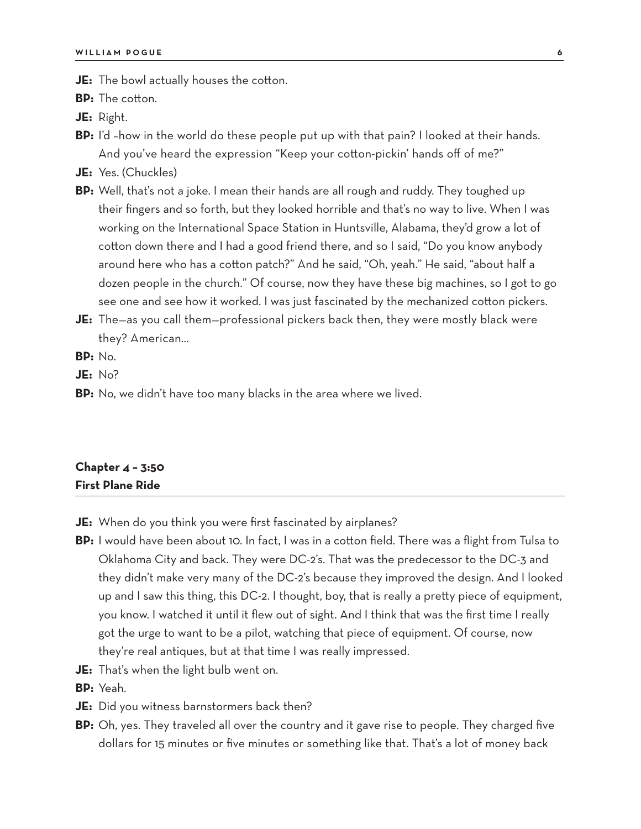**JE:** The bowl actually houses the cotton.

**BP:** The cotton.

**JE:** Right.

**BP:** I'd –how in the world do these people put up with that pain? I looked at their hands. And you've heard the expression "Keep your cotton-pickin' hands off of me?"

- **JE:** Yes. (Chuckles)
- **BP:** Well, that's not a joke. I mean their hands are all rough and ruddy. They toughed up their fingers and so forth, but they looked horrible and that's no way to live. When I was working on the International Space Station in Huntsville, Alabama, they'd grow a lot of cotton down there and I had a good friend there, and so I said, "Do you know anybody around here who has a cotton patch?" And he said, "Oh, yeah." He said, "about half a dozen people in the church." Of course, now they have these big machines, so I got to go see one and see how it worked. I was just fascinated by the mechanized cotton pickers.
- **JE:** The—as you call them—professional pickers back then, they were mostly black were they? American…

**BP:** No.

- **JE:** No?
- **BP:** No, we didn't have too many blacks in the area where we lived.

## **Chapter 4 – 3:50 First Plane Ride**

- **JE:** When do you think you were first fascinated by airplanes?
- **BP:** I would have been about 10. In fact, I was in a cotton field. There was a flight from Tulsa to Oklahoma City and back. They were DC-2's. That was the predecessor to the DC-3 and they didn't make very many of the DC-2's because they improved the design. And I looked up and I saw this thing, this DC-2. I thought, boy, that is really a pretty piece of equipment, you know. I watched it until it flew out of sight. And I think that was the first time I really got the urge to want to be a pilot, watching that piece of equipment. Of course, now they're real antiques, but at that time I was really impressed.
- **JE:** That's when the light bulb went on.

**BP:** Yeah.

- **JE:** Did you witness barnstormers back then?
- **BP:** Oh, yes. They traveled all over the country and it gave rise to people. They charged five dollars for 15 minutes or five minutes or something like that. That's a lot of money back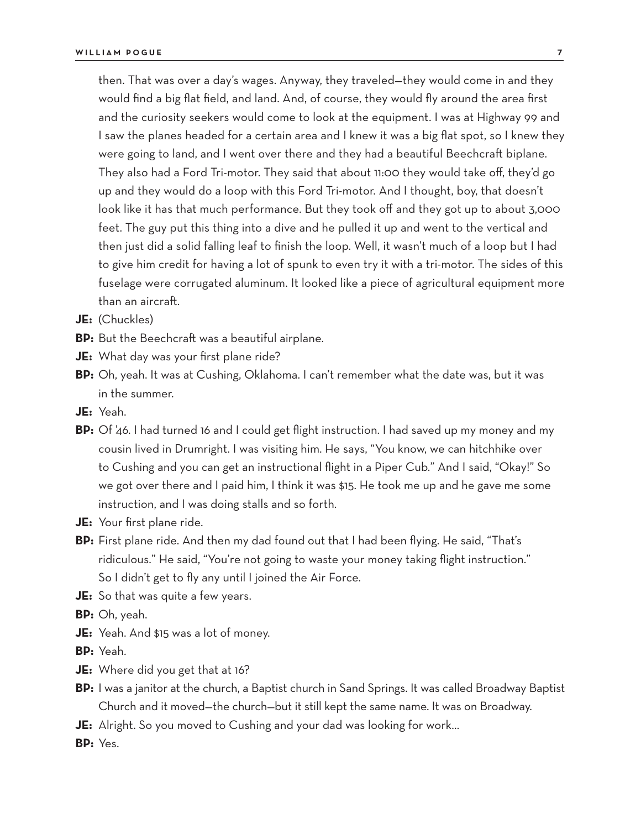then. That was over a day's wages. Anyway, they traveled—they would come in and they would find a big flat field, and land. And, of course, they would fly around the area first and the curiosity seekers would come to look at the equipment. I was at Highway 99 and I saw the planes headed for a certain area and I knew it was a big flat spot, so I knew they were going to land, and I went over there and they had a beautiful Beechcraft biplane. They also had a Ford Tri-motor. They said that about 11:00 they would take off, they'd go up and they would do a loop with this Ford Tri-motor. And I thought, boy, that doesn't look like it has that much performance. But they took off and they got up to about 3,000 feet. The guy put this thing into a dive and he pulled it up and went to the vertical and then just did a solid falling leaf to finish the loop. Well, it wasn't much of a loop but I had to give him credit for having a lot of spunk to even try it with a tri-motor. The sides of this fuselage were corrugated aluminum. It looked like a piece of agricultural equipment more than an aircraft.

- **JE:** (Chuckles)
- **BP:** But the Beechcraft was a beautiful airplane.
- **JE:** What day was your first plane ride?
- **BP:** Oh, yeah. It was at Cushing, Oklahoma. I can't remember what the date was, but it was in the summer.
- **JE:** Yeah.
- **BP:** Of '46. I had turned 16 and I could get flight instruction. I had saved up my money and my cousin lived in Drumright. I was visiting him. He says, "You know, we can hitchhike over to Cushing and you can get an instructional flight in a Piper Cub." And I said, "Okay!" So we got over there and I paid him, I think it was \$15. He took me up and he gave me some instruction, and I was doing stalls and so forth.
- **JE:** Your first plane ride.
- **BP:** First plane ride. And then my dad found out that I had been flying. He said, "That's ridiculous." He said, "You're not going to waste your money taking flight instruction." So I didn't get to fly any until I joined the Air Force.
- **JE:** So that was quite a few years.
- **BP:** Oh, yeah.
- **JE:** Yeah. And \$15 was a lot of money.
- **BP:** Yeah.
- **JE:** Where did you get that at 16?
- **BP:** I was a janitor at the church, a Baptist church in Sand Springs. It was called Broadway Baptist Church and it moved—the church—but it still kept the same name. It was on Broadway.
- **JE:** Alright. So you moved to Cushing and your dad was looking for work…

**BP:** Yes.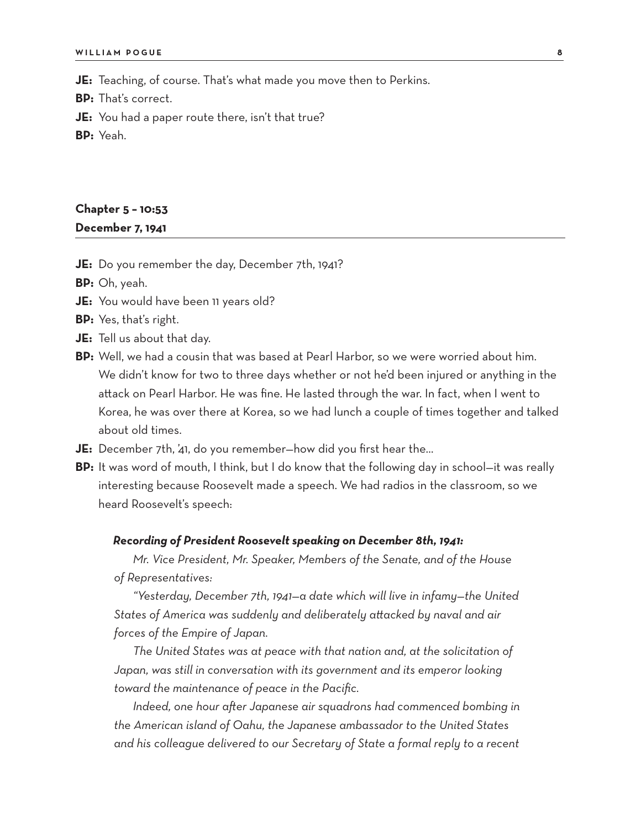**JE:** Teaching, of course. That's what made you move then to Perkins.

**BP:** That's correct.

**JE:** You had a paper route there, isn't that true?

**BP:** Yeah.

## **Chapter 5 – 10:53 December 7, 1941**

**JE:** Do you remember the day, December 7th, 1941?

**BP:** Oh, yeah.

- **JE:** You would have been 11 years old?
- **BP:** Yes, that's right.
- **JE:** Tell us about that day.
- **BP:** Well, we had a cousin that was based at Pearl Harbor, so we were worried about him. We didn't know for two to three days whether or not he'd been injured or anything in the attack on Pearl Harbor. He was fine. He lasted through the war. In fact, when I went to Korea, he was over there at Korea, so we had lunch a couple of times together and talked about old times.
- **JE:** December 7th, 41, do you remember-how did you first hear the...
- **BP:** It was word of mouth, I think, but I do know that the following day in school—it was really interesting because Roosevelt made a speech. We had radios in the classroom, so we heard Roosevelt's speech:

#### *Recording of President Roosevelt speaking on December 8th, 1941:*

*Mr. Vice President, Mr. Speaker, Members of the Senate, and of the House of Representatives:*

*"Yesterday, December 7th, 1941—a date which will live in infamy—the United States of America was suddenly and deliberately attacked by naval and air forces of the Empire of Japan.*

*The United States was at peace with that nation and, at the solicitation of Japan, was still in conversation with its government and its emperor looking toward the maintenance of peace in the Pacific.*

*Indeed, one hour after Japanese air squadrons had commenced bombing in the American island of Oahu, the Japanese ambassador to the United States and his colleague delivered to our Secretary of State a formal reply to a recent*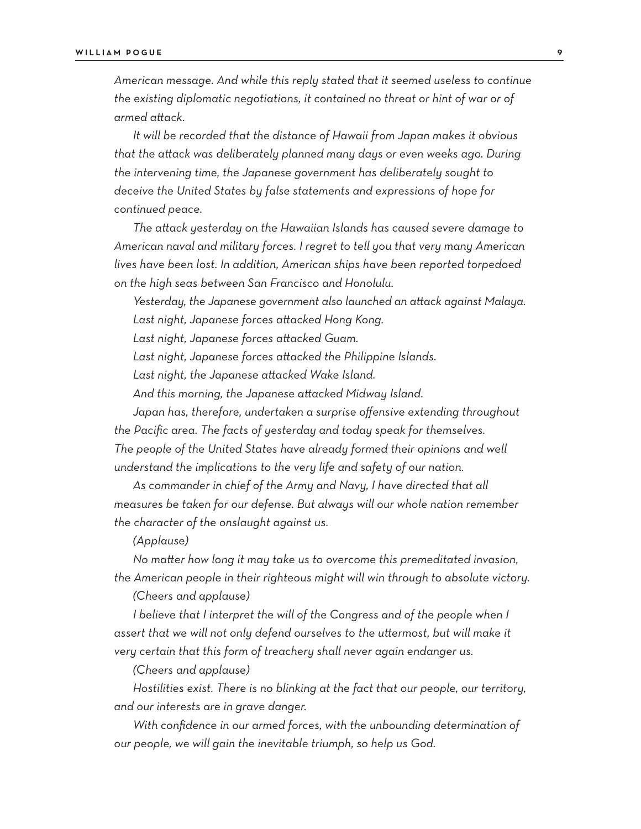*American message. And while this reply stated that it seemed useless to continue the existing diplomatic negotiations, it contained no threat or hint of war or of armed attack.*

*It will be recorded that the distance of Hawaii from Japan makes it obvious that the attack was deliberately planned many days or even weeks ago. During the intervening time, the Japanese government has deliberately sought to deceive the United States by false statements and expressions of hope for continued peace.*

*The attack yesterday on the Hawaiian Islands has caused severe damage to American naval and military forces. I regret to tell you that very many American lives have been lost. In addition, American ships have been reported torpedoed on the high seas between San Francisco and Honolulu.*

*Yesterday, the Japanese government also launched an attack against Malaya. Last night, Japanese forces attacked Hong Kong.*

*Last night, Japanese forces attacked Guam.*

*Last night, Japanese forces attacked the Philippine Islands.*

*Last night, the Japanese attacked Wake Island.*

*And this morning, the Japanese attacked Midway Island.*

*Japan has, therefore, undertaken a surprise offensive extending throughout the Pacific area. The facts of yesterday and today speak for themselves. The people of the United States have already formed their opinions and well understand the implications to the very life and safety of our nation.*

*As commander in chief of the Army and Navy, I have directed that all measures be taken for our defense. But always will our whole nation remember the character of the onslaught against us.*

*(Applause)*

*No matter how long it may take us to overcome this premeditated invasion, the American people in their righteous might will win through to absolute victory. (Cheers and applause)*

*I* believe that I interpret the will of the Congress and of the people when I *assert that we will not only defend ourselves to the uttermost, but will make it very certain that this form of treachery shall never again endanger us.*

*(Cheers and applause)*

*Hostilities exist. There is no blinking at the fact that our people, our territory, and our interests are in grave danger.*

With confidence in our armed forces, with the unbounding determination of *our people, we will gain the inevitable triumph, so help us God.*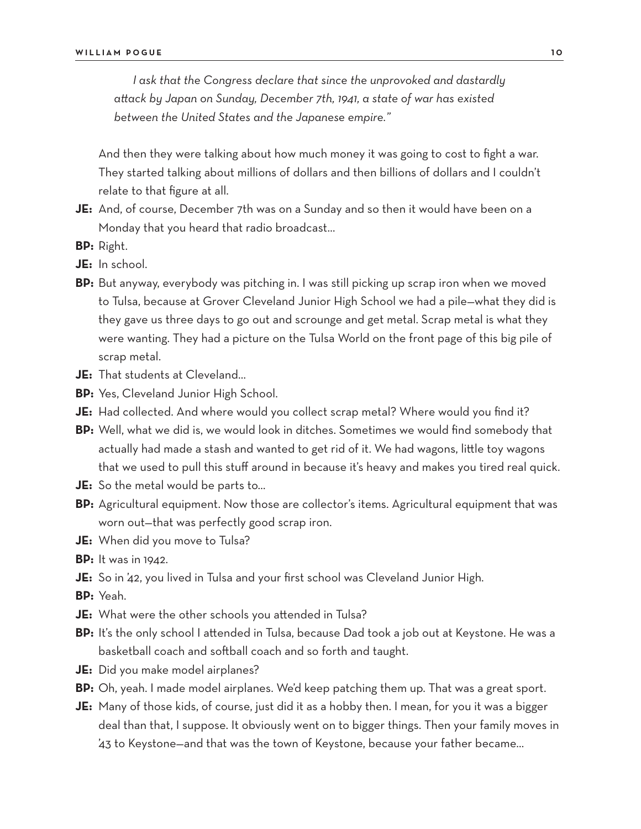*I ask that the Congress declare that since the unprovoked and dastardly attack by Japan on Sunday, December 7th, 1941, a state of war has existed between the United States and the Japanese empire."*

And then they were talking about how much money it was going to cost to fight a war. They started talking about millions of dollars and then billions of dollars and I couldn't relate to that figure at all.

- **JE:** And, of course, December 7th was on a Sunday and so then it would have been on a Monday that you heard that radio broadcast…
- **BP:** Right.
- **JE:** In school.
- **BP:** But anyway, everybody was pitching in. I was still picking up scrap iron when we moved to Tulsa, because at Grover Cleveland Junior High School we had a pile—what they did is they gave us three days to go out and scrounge and get metal. Scrap metal is what they were wanting. They had a picture on the Tulsa World on the front page of this big pile of scrap metal.
- **JE:** That students at Cleveland…
- **BP:** Yes, Cleveland Junior High School.
- **JE:** Had collected. And where would you collect scrap metal? Where would you find it?
- **BP:** Well, what we did is, we would look in ditches. Sometimes we would find somebody that actually had made a stash and wanted to get rid of it. We had wagons, little toy wagons that we used to pull this stuff around in because it's heavy and makes you tired real quick.
- **JE:** So the metal would be parts to…
- **BP:** Agricultural equipment. Now those are collector's items. Agricultural equipment that was worn out—that was perfectly good scrap iron.
- **JE:** When did you move to Tulsa?
- **BP:** It was in 1942.
- **JE:** So in 42, you lived in Tulsa and your first school was Cleveland Junior High.
- **BP:** Yeah.
- **JE:** What were the other schools you attended in Tulsa?
- **BP:** It's the only school I attended in Tulsa, because Dad took a job out at Keystone. He was a basketball coach and softball coach and so forth and taught.
- **JE:** Did you make model airplanes?
- **BP:** Oh, yeah. I made model airplanes. We'd keep patching them up. That was a great sport.
- **JE:** Many of those kids, of course, just did it as a hobby then. I mean, for you it was a bigger deal than that, I suppose. It obviously went on to bigger things. Then your family moves in '43 to Keystone—and that was the town of Keystone, because your father became…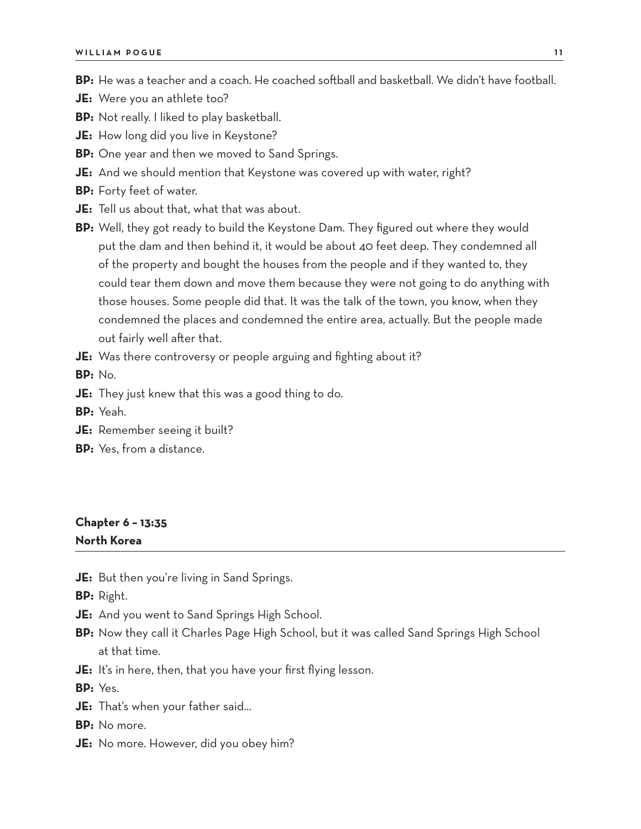**BP:** He was a teacher and a coach. He coached softball and basketball. We didn't have football.

- **JE:** Were you an athlete too?
- **BP:** Not really. I liked to play basketball.
- **JE:** How long did you live in Keystone?
- **BP:** One year and then we moved to Sand Springs.
- **JE:** And we should mention that Keystone was covered up with water, right?
- **BP:** Forty feet of water.
- **JE:** Tell us about that, what that was about.
- **BP:** Well, they got ready to build the Keystone Dam. They figured out where they would put the dam and then behind it, it would be about 40 feet deep. They condemned all of the property and bought the houses from the people and if they wanted to, they could tear them down and move them because they were not going to do anything with those houses. Some people did that. It was the talk of the town, you know, when they condemned the places and condemned the entire area, actually. But the people made out fairly well after that.
- **JE:** Was there controversy or people arguing and fighting about it?

**BP:** No.

- **JE:** They just knew that this was a good thing to do.
- **BP:** Yeah.
- **JE:** Remember seeing it built?
- **BP:** Yes, from a distance.

## **Chapter 6 – 13:35 North Korea**

**JE:** But then you're living in Sand Springs.

**BP:** Right.

- **JE:** And you went to Sand Springs High School.
- **BP:** Now they call it Charles Page High School, but it was called Sand Springs High School at that time.
- **JE:** It's in here, then, that you have your first flying lesson.

**BP:** Yes.

- **JE:** That's when your father said…
- **BP:** No more.
- **JE:** No more. However, did you obey him?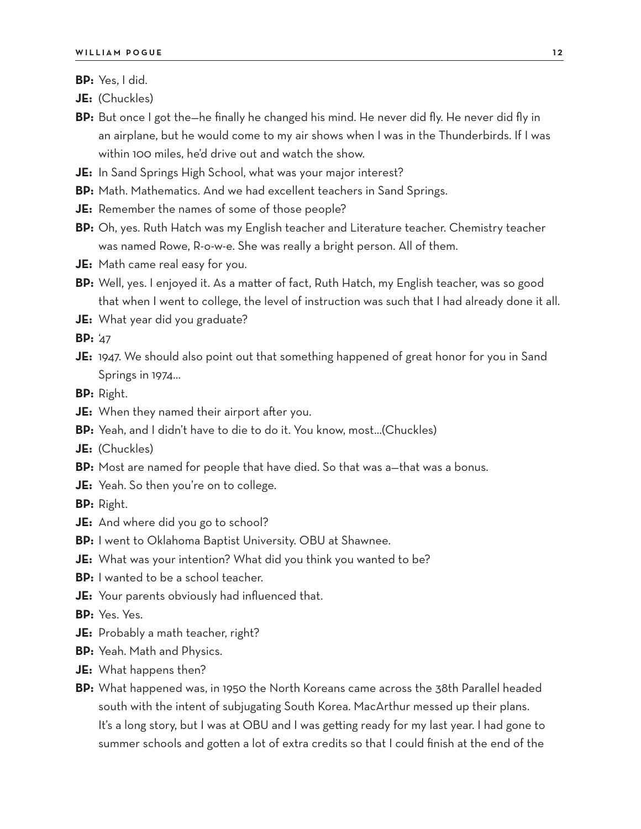**BP:** Yes, I did.

**JE:** (Chuckles)

- **BP:** But once I got the—he finally he changed his mind. He never did fly. He never did fly in an airplane, but he would come to my air shows when I was in the Thunderbirds. If I was within 100 miles, he'd drive out and watch the show.
- **JE:** In Sand Springs High School, what was your major interest?
- **BP:** Math. Mathematics. And we had excellent teachers in Sand Springs.
- **JE:** Remember the names of some of those people?
- **BP:** Oh, yes. Ruth Hatch was my English teacher and Literature teacher. Chemistry teacher was named Rowe, R-o-w-e. She was really a bright person. All of them.
- **JE:** Math came real easy for you.
- **BP:** Well, yes. I enjoyed it. As a matter of fact, Ruth Hatch, my English teacher, was so good that when I went to college, the level of instruction was such that I had already done it all.
- **JE:** What year did you graduate?

**BP:** '47

**JE:** 1947. We should also point out that something happened of great honor for you in Sand Springs in 1974…

**BP:** Right.

- **JE:** When they named their airport after you.
- **BP:** Yeah, and I didn't have to die to do it. You know, most…(Chuckles)
- **JE:** (Chuckles)
- **BP:** Most are named for people that have died. So that was a—that was a bonus.
- **JE:** Yeah. So then you're on to college.

**BP:** Right.

- **JE:** And where did you go to school?
- **BP:** I went to Oklahoma Baptist University. OBU at Shawnee.
- **JE:** What was your intention? What did you think you wanted to be?
- **BP:** I wanted to be a school teacher.
- **JE:** Your parents obviously had influenced that.

**BP:** Yes. Yes.

- **JE:** Probably a math teacher, right?
- **BP:** Yeah. Math and Physics.
- **JE:** What happens then?
- **BP:** What happened was, in 1950 the North Koreans came across the 38th Parallel headed south with the intent of subjugating South Korea. MacArthur messed up their plans. It's a long story, but I was at OBU and I was getting ready for my last year. I had gone to summer schools and gotten a lot of extra credits so that I could finish at the end of the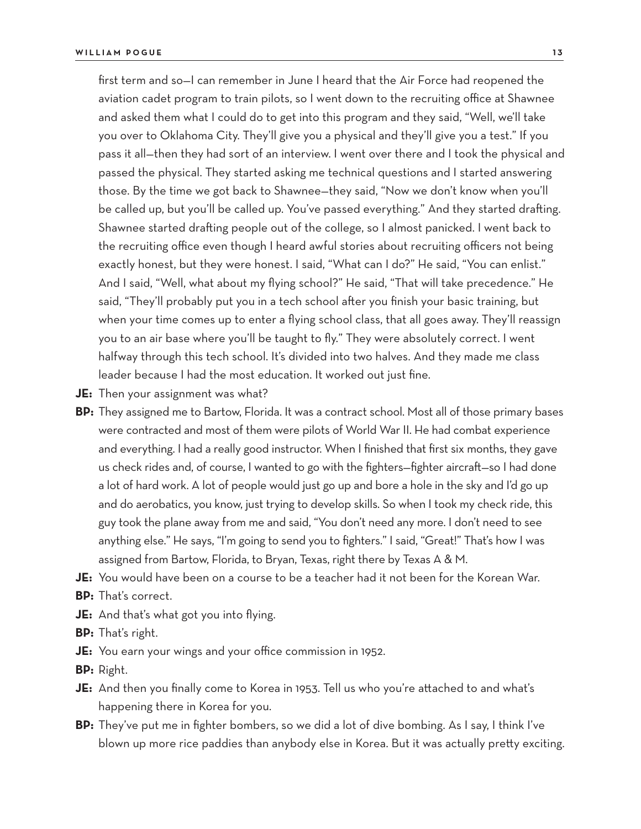first term and so—I can remember in June I heard that the Air Force had reopened the aviation cadet program to train pilots, so I went down to the recruiting office at Shawnee and asked them what I could do to get into this program and they said, "Well, we'll take you over to Oklahoma City. They'll give you a physical and they'll give you a test." If you pass it all—then they had sort of an interview. I went over there and I took the physical and passed the physical. They started asking me technical questions and I started answering those. By the time we got back to Shawnee—they said, "Now we don't know when you'll be called up, but you'll be called up. You've passed everything." And they started drafting. Shawnee started drafting people out of the college, so I almost panicked. I went back to the recruiting office even though I heard awful stories about recruiting officers not being exactly honest, but they were honest. I said, "What can I do?" He said, "You can enlist." And I said, "Well, what about my flying school?" He said, "That will take precedence." He said, "They'll probably put you in a tech school after you finish your basic training, but when your time comes up to enter a flying school class, that all goes away. They'll reassign you to an air base where you'll be taught to fly." They were absolutely correct. I went halfway through this tech school. It's divided into two halves. And they made me class leader because I had the most education. It worked out just fine.

- **JE:** Then your assignment was what?
- **BP:** They assigned me to Bartow, Florida. It was a contract school. Most all of those primary bases were contracted and most of them were pilots of World War II. He had combat experience and everything. I had a really good instructor. When I finished that first six months, they gave us check rides and, of course, I wanted to go with the fighters—fighter aircraft—so I had done a lot of hard work. A lot of people would just go up and bore a hole in the sky and I'd go up and do aerobatics, you know, just trying to develop skills. So when I took my check ride, this guy took the plane away from me and said, "You don't need any more. I don't need to see anything else." He says, "I'm going to send you to fighters." I said, "Great!" That's how I was assigned from Bartow, Florida, to Bryan, Texas, right there by Texas A & M.
- **JE:** You would have been on a course to be a teacher had it not been for the Korean War. **BP:** That's correct.
- **JE:** And that's what got you into flying.
- **BP:** That's right.
- **JE:** You earn your wings and your office commission in 1952.
- **BP:** Right.
- **JE:** And then you finally come to Korea in 1953. Tell us who you're attached to and what's happening there in Korea for you.
- **BP:** They've put me in fighter bombers, so we did a lot of dive bombing. As I say, I think I've blown up more rice paddies than anybody else in Korea. But it was actually pretty exciting.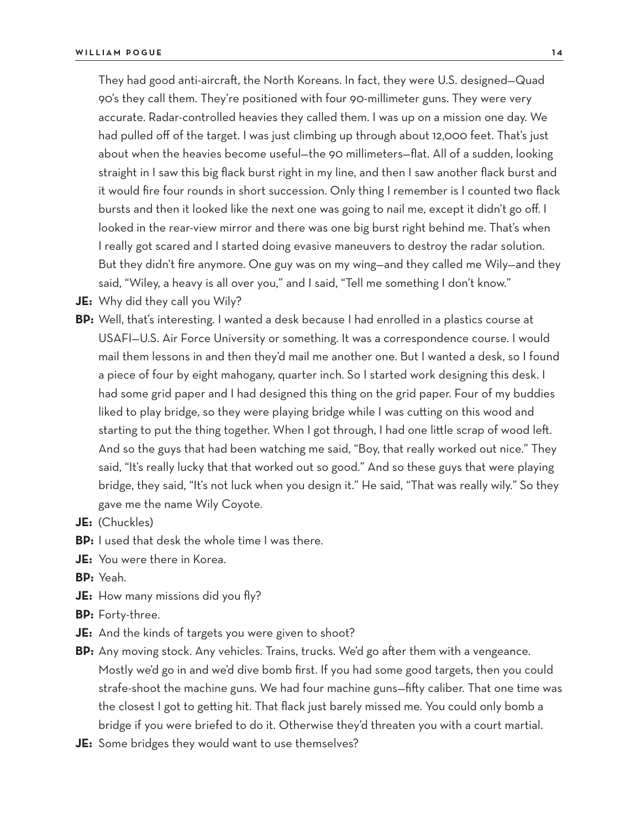They had good anti-aircraft, the North Koreans. In fact, they were U.S. designed—Quad 90's they call them. They're positioned with four 90-millimeter guns. They were very accurate. Radar-controlled heavies they called them. I was up on a mission one day. We had pulled off of the target. I was just climbing up through about 12,000 feet. That's just about when the heavies become useful—the 90 millimeters—flat. All of a sudden, looking straight in I saw this big flack burst right in my line, and then I saw another flack burst and it would fire four rounds in short succession. Only thing I remember is I counted two flack bursts and then it looked like the next one was going to nail me, except it didn't go off. I looked in the rear-view mirror and there was one big burst right behind me. That's when I really got scared and I started doing evasive maneuvers to destroy the radar solution. But they didn't fire anymore. One guy was on my wing—and they called me Wily—and they said, "Wiley, a heavy is all over you," and I said, "Tell me something I don't know."

**JE:** Why did they call you Wily?

- **BP:** Well, that's interesting. I wanted a desk because I had enrolled in a plastics course at USAFI—U.S. Air Force University or something. It was a correspondence course. I would mail them lessons in and then they'd mail me another one. But I wanted a desk, so I found a piece of four by eight mahogany, quarter inch. So I started work designing this desk. I had some grid paper and I had designed this thing on the grid paper. Four of my buddies liked to play bridge, so they were playing bridge while I was cutting on this wood and starting to put the thing together. When I got through, I had one little scrap of wood left. And so the guys that had been watching me said, "Boy, that really worked out nice." They said, "It's really lucky that that worked out so good." And so these guys that were playing bridge, they said, "It's not luck when you design it." He said, "That was really wily." So they gave me the name Wily Coyote.
- **JE:** (Chuckles)
- **BP:** I used that desk the whole time I was there.
- **JE:** You were there in Korea.
- **BP:** Yeah.
- **JE:** How many missions did you fly?
- **BP:** Forty-three.
- **JE:** And the kinds of targets you were given to shoot?
- **BP:** Any moving stock. Any vehicles. Trains, trucks. We'd go after them with a vengeance. Mostly we'd go in and we'd dive bomb first. If you had some good targets, then you could strafe-shoot the machine guns. We had four machine guns—fifty caliber. That one time was the closest I got to getting hit. That flack just barely missed me. You could only bomb a bridge if you were briefed to do it. Otherwise they'd threaten you with a court martial.
- **JE:** Some bridges they would want to use themselves?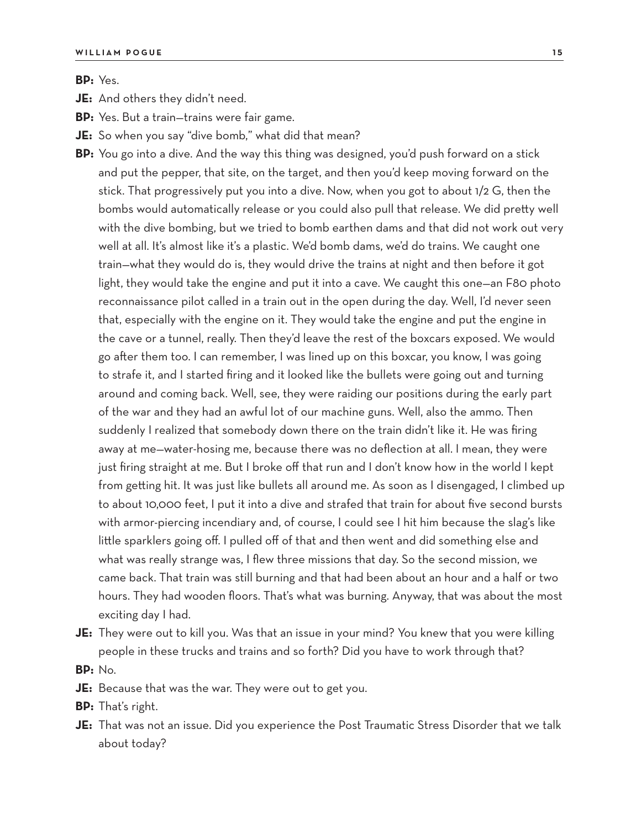**BP:** Yes.

**JE:** And others they didn't need.

**BP:** Yes. But a train—trains were fair game.

- **JE:** So when you say "dive bomb," what did that mean?
- **BP:** You go into a dive. And the way this thing was designed, you'd push forward on a stick and put the pepper, that site, on the target, and then you'd keep moving forward on the stick. That progressively put you into a dive. Now, when you got to about 1/2 G, then the bombs would automatically release or you could also pull that release. We did pretty well with the dive bombing, but we tried to bomb earthen dams and that did not work out very well at all. It's almost like it's a plastic. We'd bomb dams, we'd do trains. We caught one train—what they would do is, they would drive the trains at night and then before it got light, they would take the engine and put it into a cave. We caught this one—an F80 photo reconnaissance pilot called in a train out in the open during the day. Well, I'd never seen that, especially with the engine on it. They would take the engine and put the engine in the cave or a tunnel, really. Then they'd leave the rest of the boxcars exposed. We would go after them too. I can remember, I was lined up on this boxcar, you know, I was going to strafe it, and I started firing and it looked like the bullets were going out and turning around and coming back. Well, see, they were raiding our positions during the early part of the war and they had an awful lot of our machine guns. Well, also the ammo. Then suddenly I realized that somebody down there on the train didn't like it. He was firing away at me—water-hosing me, because there was no deflection at all. I mean, they were just firing straight at me. But I broke off that run and I don't know how in the world I kept from getting hit. It was just like bullets all around me. As soon as I disengaged, I climbed up to about 10,000 feet, I put it into a dive and strafed that train for about five second bursts with armor-piercing incendiary and, of course, I could see I hit him because the slag's like little sparklers going off. I pulled off of that and then went and did something else and what was really strange was, I flew three missions that day. So the second mission, we came back. That train was still burning and that had been about an hour and a half or two hours. They had wooden floors. That's what was burning. Anyway, that was about the most exciting day I had.
- **JE:** They were out to kill you. Was that an issue in your mind? You knew that you were killing people in these trucks and trains and so forth? Did you have to work through that?
- **BP:** No.
- **JE:** Because that was the war. They were out to get you.
- **BP:** That's right.
- **JE:** That was not an issue. Did you experience the Post Traumatic Stress Disorder that we talk about today?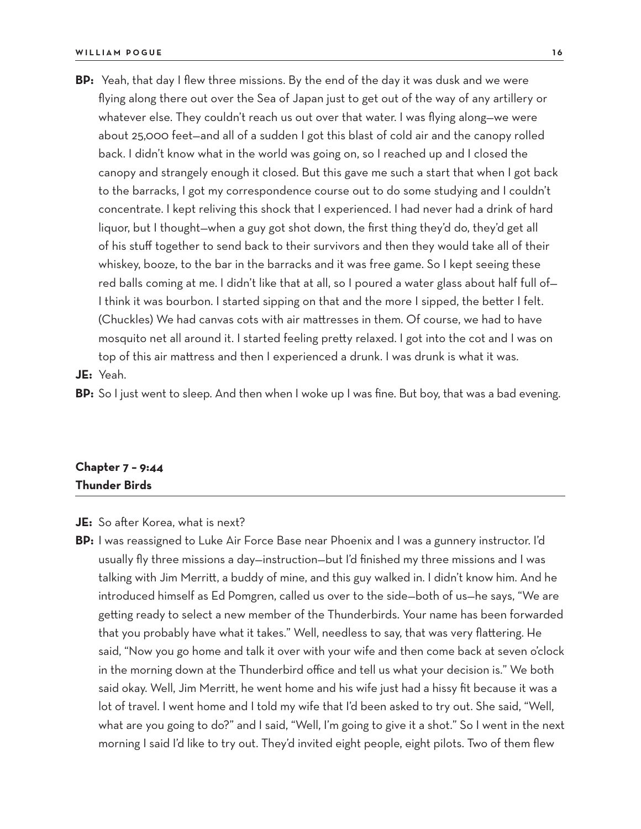- **BP:** Yeah, that day I flew three missions. By the end of the day it was dusk and we were flying along there out over the Sea of Japan just to get out of the way of any artillery or whatever else. They couldn't reach us out over that water. I was flying along—we were about 25,000 feet—and all of a sudden I got this blast of cold air and the canopy rolled back. I didn't know what in the world was going on, so I reached up and I closed the canopy and strangely enough it closed. But this gave me such a start that when I got back to the barracks, I got my correspondence course out to do some studying and I couldn't concentrate. I kept reliving this shock that I experienced. I had never had a drink of hard liquor, but I thought—when a guy got shot down, the first thing they'd do, they'd get all of his stuff together to send back to their survivors and then they would take all of their whiskey, booze, to the bar in the barracks and it was free game. So I kept seeing these red balls coming at me. I didn't like that at all, so I poured a water glass about half full of— I think it was bourbon. I started sipping on that and the more I sipped, the better I felt. (Chuckles) We had canvas cots with air mattresses in them. Of course, we had to have mosquito net all around it. I started feeling pretty relaxed. I got into the cot and I was on top of this air mattress and then I experienced a drunk. I was drunk is what it was.
- **JE:** Yeah.
- **BP:** So I just went to sleep. And then when I woke up I was fine. But boy, that was a bad evening.

#### **Chapter 7 – 9:44 Thunder Birds**

#### **JE:** So after Korea, what is next?

**BP:** I was reassigned to Luke Air Force Base near Phoenix and I was a gunnery instructor. I'd usually fly three missions a day—instruction—but I'd finished my three missions and I was talking with Jim Merritt, a buddy of mine, and this guy walked in. I didn't know him. And he introduced himself as Ed Pomgren, called us over to the side—both of us—he says, "We are getting ready to select a new member of the Thunderbirds. Your name has been forwarded that you probably have what it takes." Well, needless to say, that was very flattering. He said, "Now you go home and talk it over with your wife and then come back at seven o'clock in the morning down at the Thunderbird office and tell us what your decision is." We both said okay. Well, Jim Merritt, he went home and his wife just had a hissy fit because it was a lot of travel. I went home and I told my wife that I'd been asked to try out. She said, "Well, what are you going to do?" and I said, "Well, I'm going to give it a shot." So I went in the next morning I said I'd like to try out. They'd invited eight people, eight pilots. Two of them flew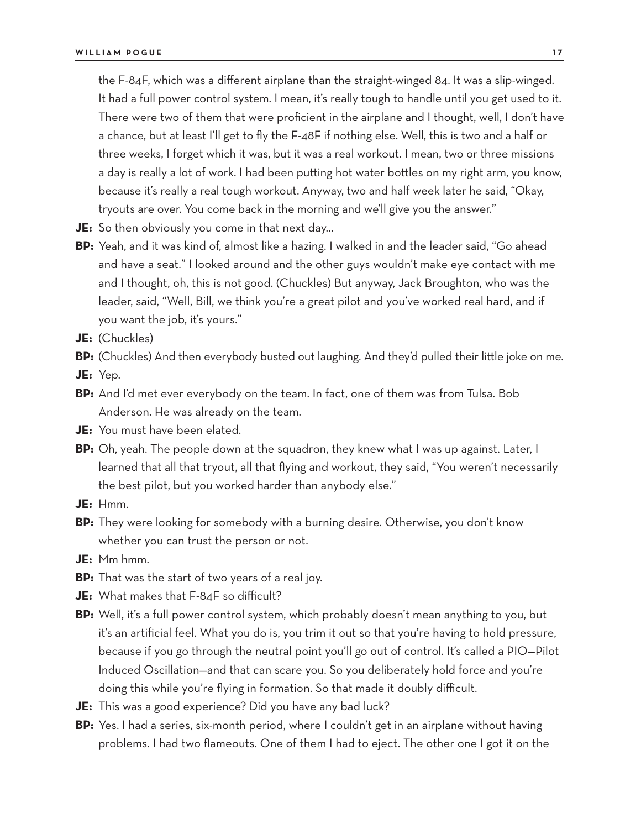the F-84F, which was a different airplane than the straight-winged 84. It was a slip-winged. It had a full power control system. I mean, it's really tough to handle until you get used to it. There were two of them that were proficient in the airplane and I thought, well, I don't have a chance, but at least I'll get to fly the F-48F if nothing else. Well, this is two and a half or three weeks, I forget which it was, but it was a real workout. I mean, two or three missions a day is really a lot of work. I had been putting hot water bottles on my right arm, you know, because it's really a real tough workout. Anyway, two and half week later he said, "Okay, tryouts are over. You come back in the morning and we'll give you the answer."

- **JE:** So then obviously you come in that next day…
- **BP:** Yeah, and it was kind of, almost like a hazing. I walked in and the leader said, "Go ahead and have a seat." I looked around and the other guys wouldn't make eye contact with me and I thought, oh, this is not good. (Chuckles) But anyway, Jack Broughton, who was the leader, said, "Well, Bill, we think you're a great pilot and you've worked real hard, and if you want the job, it's yours."
- **JE:** (Chuckles)
- **BP:** (Chuckles) And then everybody busted out laughing. And they'd pulled their little joke on me.
- **JE:** Yep.
- **BP:** And I'd met ever everybody on the team. In fact, one of them was from Tulsa. Bob Anderson. He was already on the team.
- **JE:** You must have been elated.
- **BP:** Oh, yeah. The people down at the squadron, they knew what I was up against. Later, I learned that all that tryout, all that flying and workout, they said, "You weren't necessarily the best pilot, but you worked harder than anybody else."
- **JE:** Hmm.
- **BP:** They were looking for somebody with a burning desire. Otherwise, you don't know whether you can trust the person or not.
- **JE:** Mm hmm.
- **BP:** That was the start of two years of a real joy.
- **JE:** What makes that F-84F so difficult?
- **BP:** Well, it's a full power control system, which probably doesn't mean anything to you, but it's an artificial feel. What you do is, you trim it out so that you're having to hold pressure, because if you go through the neutral point you'll go out of control. It's called a PIO—Pilot Induced Oscillation—and that can scare you. So you deliberately hold force and you're doing this while you're flying in formation. So that made it doubly difficult.
- **JE:** This was a good experience? Did you have any bad luck?
- **BP:** Yes. I had a series, six-month period, where I couldn't get in an airplane without having problems. I had two flameouts. One of them I had to eject. The other one I got it on the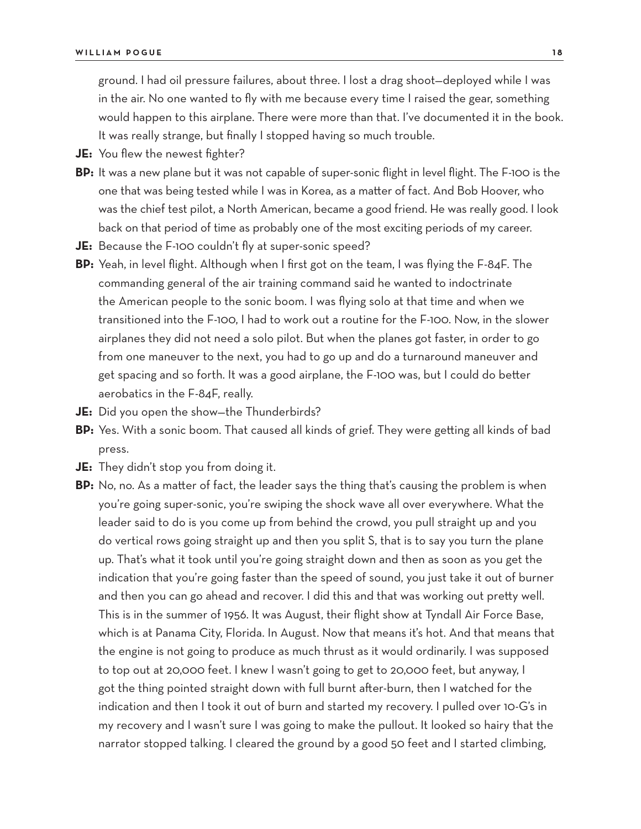ground. I had oil pressure failures, about three. I lost a drag shoot—deployed while I was in the air. No one wanted to fly with me because every time I raised the gear, something would happen to this airplane. There were more than that. I've documented it in the book. It was really strange, but finally I stopped having so much trouble.

- **JE:** You flew the newest fighter?
- **BP:** It was a new plane but it was not capable of super-sonic flight in level flight. The F-100 is the one that was being tested while I was in Korea, as a matter of fact. And Bob Hoover, who was the chief test pilot, a North American, became a good friend. He was really good. I look back on that period of time as probably one of the most exciting periods of my career.
- **JE:** Because the F-100 couldn't fly at super-sonic speed?
- **BP:** Yeah, in level flight. Although when I first got on the team, I was flying the F-84F. The commanding general of the air training command said he wanted to indoctrinate the American people to the sonic boom. I was flying solo at that time and when we transitioned into the F-100, I had to work out a routine for the F-100. Now, in the slower airplanes they did not need a solo pilot. But when the planes got faster, in order to go from one maneuver to the next, you had to go up and do a turnaround maneuver and get spacing and so forth. It was a good airplane, the F-100 was, but I could do better aerobatics in the F-84F, really.
- **JE:** Did you open the show—the Thunderbirds?
- **BP:** Yes. With a sonic boom. That caused all kinds of grief. They were getting all kinds of bad press.
- **JE:** They didn't stop you from doing it.
- **BP:** No, no. As a matter of fact, the leader says the thing that's causing the problem is when you're going super-sonic, you're swiping the shock wave all over everywhere. What the leader said to do is you come up from behind the crowd, you pull straight up and you do vertical rows going straight up and then you split S, that is to say you turn the plane up. That's what it took until you're going straight down and then as soon as you get the indication that you're going faster than the speed of sound, you just take it out of burner and then you can go ahead and recover. I did this and that was working out pretty well. This is in the summer of 1956. It was August, their flight show at Tyndall Air Force Base, which is at Panama City, Florida. In August. Now that means it's hot. And that means that the engine is not going to produce as much thrust as it would ordinarily. I was supposed to top out at 20,000 feet. I knew I wasn't going to get to 20,000 feet, but anyway, I got the thing pointed straight down with full burnt after-burn, then I watched for the indication and then I took it out of burn and started my recovery. I pulled over 10-G's in my recovery and I wasn't sure I was going to make the pullout. It looked so hairy that the narrator stopped talking. I cleared the ground by a good 50 feet and I started climbing,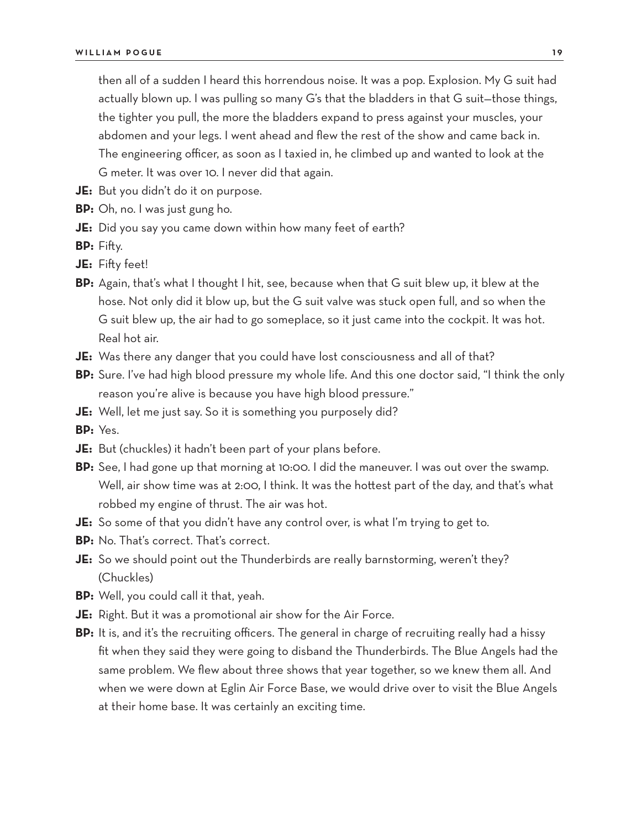then all of a sudden I heard this horrendous noise. It was a pop. Explosion. My G suit had actually blown up. I was pulling so many G's that the bladders in that G suit—those things, the tighter you pull, the more the bladders expand to press against your muscles, your abdomen and your legs. I went ahead and flew the rest of the show and came back in. The engineering officer, as soon as I taxied in, he climbed up and wanted to look at the G meter. It was over 10. I never did that again.

- **JE:** But you didn't do it on purpose.
- **BP:** Oh, no. I was just gung ho.
- **JE:** Did you say you came down within how many feet of earth?
- **BP:** Fifty.
- **JE:** Fifty feet!
- **BP:** Again, that's what I thought I hit, see, because when that G suit blew up, it blew at the hose. Not only did it blow up, but the G suit valve was stuck open full, and so when the G suit blew up, the air had to go someplace, so it just came into the cockpit. It was hot. Real hot air.
- **JE:** Was there any danger that you could have lost consciousness and all of that?
- **BP:** Sure. I've had high blood pressure my whole life. And this one doctor said, "I think the only reason you're alive is because you have high blood pressure."
- **JE:** Well, let me just say. So it is something you purposely did?
- **BP:** Yes.
- **JE:** But (chuckles) it hadn't been part of your plans before.
- **BP:** See, I had gone up that morning at 10:00. I did the maneuver. I was out over the swamp. Well, air show time was at 2:00, I think. It was the hottest part of the day, and that's what robbed my engine of thrust. The air was hot.
- **JE:** So some of that you didn't have any control over, is what I'm trying to get to.
- **BP:** No. That's correct. That's correct.
- **JE:** So we should point out the Thunderbirds are really barnstorming, weren't they? (Chuckles)
- **BP:** Well, you could call it that, yeah.
- **JE:** Right. But it was a promotional air show for the Air Force.
- **BP:** It is, and it's the recruiting officers. The general in charge of recruiting really had a hissy fit when they said they were going to disband the Thunderbirds. The Blue Angels had the same problem. We flew about three shows that year together, so we knew them all. And when we were down at Eglin Air Force Base, we would drive over to visit the Blue Angels at their home base. It was certainly an exciting time.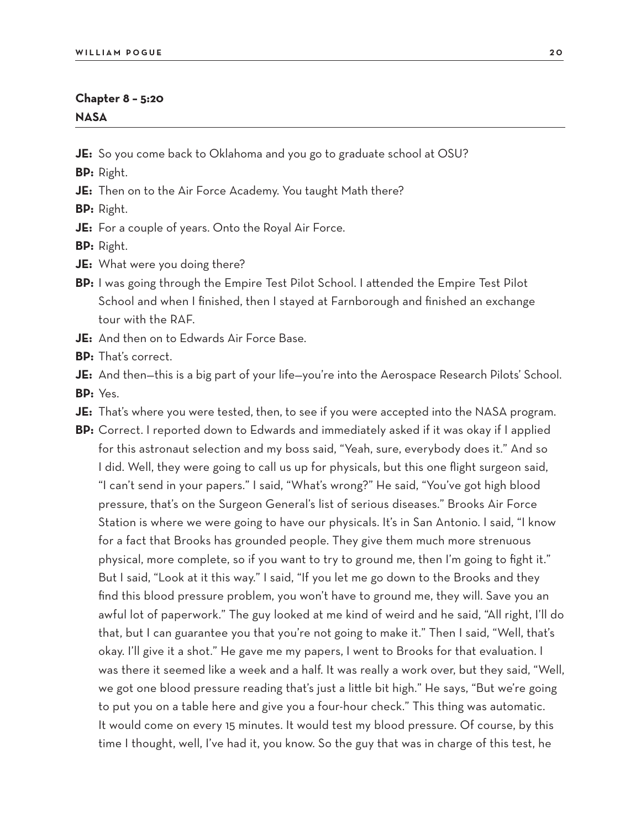#### **Chapter 8 – 5:20 NASA**

**JE:** So you come back to Oklahoma and you go to graduate school at OSU?

**BP:** Right.

**JE:** Then on to the Air Force Academy. You taught Math there?

**BP:** Right.

**JE:** For a couple of years. Onto the Royal Air Force.

**BP:** Right.

- **JE:** What were you doing there?
- **BP:** I was going through the Empire Test Pilot School. I attended the Empire Test Pilot School and when I finished, then I stayed at Farnborough and finished an exchange tour with the RAF.
- **JE:** And then on to Edwards Air Force Base.
- **BP:** That's correct.

**JE:** And then—this is a big part of your life—you're into the Aerospace Research Pilots' School. **BP:** Yes.

- **JE:** That's where you were tested, then, to see if you were accepted into the NASA program.
- **BP:** Correct. I reported down to Edwards and immediately asked if it was okay if I applied for this astronaut selection and my boss said, "Yeah, sure, everybody does it." And so I did. Well, they were going to call us up for physicals, but this one flight surgeon said, "I can't send in your papers." I said, "What's wrong?" He said, "You've got high blood pressure, that's on the Surgeon General's list of serious diseases." Brooks Air Force Station is where we were going to have our physicals. It's in San Antonio. I said, "I know for a fact that Brooks has grounded people. They give them much more strenuous physical, more complete, so if you want to try to ground me, then I'm going to fight it." But I said, "Look at it this way." I said, "If you let me go down to the Brooks and they find this blood pressure problem, you won't have to ground me, they will. Save you an awful lot of paperwork." The guy looked at me kind of weird and he said, "All right, I'll do that, but I can guarantee you that you're not going to make it." Then I said, "Well, that's okay. I'll give it a shot." He gave me my papers, I went to Brooks for that evaluation. I was there it seemed like a week and a half. It was really a work over, but they said, "Well, we got one blood pressure reading that's just a little bit high." He says, "But we're going to put you on a table here and give you a four-hour check." This thing was automatic. It would come on every 15 minutes. It would test my blood pressure. Of course, by this time I thought, well, I've had it, you know. So the guy that was in charge of this test, he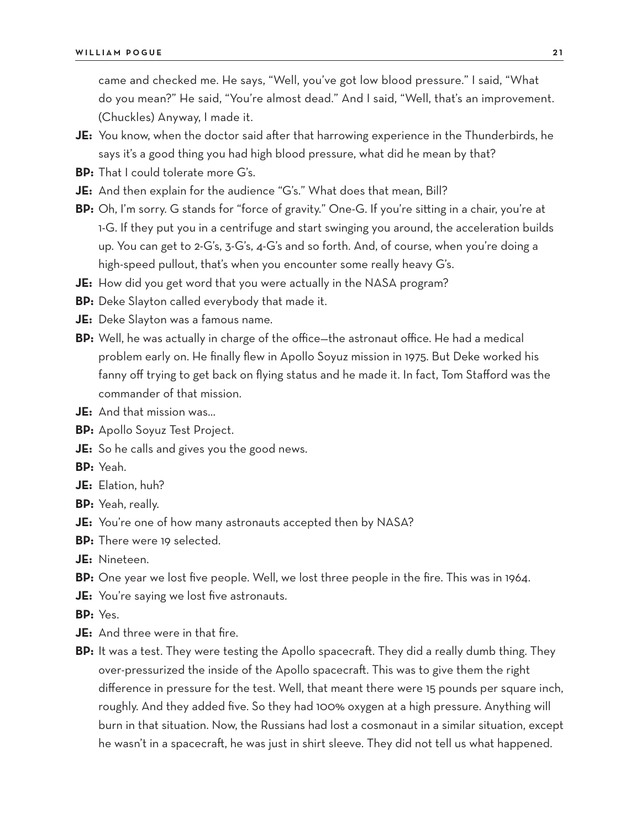came and checked me. He says, "Well, you've got low blood pressure." I said, "What do you mean?" He said, "You're almost dead." And I said, "Well, that's an improvement. (Chuckles) Anyway, I made it.

- **JE:** You know, when the doctor said after that harrowing experience in the Thunderbirds, he says it's a good thing you had high blood pressure, what did he mean by that?
- **BP:** That I could tolerate more G's.
- **JE:** And then explain for the audience "G's." What does that mean, Bill?
- **BP:** Oh, I'm sorry. G stands for "force of gravity." One-G. If you're sitting in a chair, you're at 1-G. If they put you in a centrifuge and start swinging you around, the acceleration builds up. You can get to 2-G's, 3-G's, 4-G's and so forth. And, of course, when you're doing a high-speed pullout, that's when you encounter some really heavy G's.
- **JE:** How did you get word that you were actually in the NASA program?
- **BP:** Deke Slayton called everybody that made it.
- **JE:** Deke Slayton was a famous name.
- **BP:** Well, he was actually in charge of the office—the astronaut office. He had a medical problem early on. He finally flew in Apollo Soyuz mission in 1975. But Deke worked his fanny off trying to get back on flying status and he made it. In fact, Tom Stafford was the commander of that mission.
- **JE:** And that mission was…
- **BP:** Apollo Soyuz Test Project.
- **JE:** So he calls and gives you the good news.
- **BP:** Yeah.
- **JE:** Elation, huh?
- **BP:** Yeah, really.
- **JE:** You're one of how many astronauts accepted then by NASA?
- **BP:** There were 19 selected.
- **JE:** Nineteen.
- **BP:** One year we lost five people. Well, we lost three people in the fire. This was in 1964.
- **JE:** You're saying we lost five astronauts.
- **BP:** Yes.
- **JE:** And three were in that fire.
- **BP:** It was a test. They were testing the Apollo spacecraft. They did a really dumb thing. They over-pressurized the inside of the Apollo spacecraft. This was to give them the right difference in pressure for the test. Well, that meant there were 15 pounds per square inch, roughly. And they added five. So they had 100% oxygen at a high pressure. Anything will burn in that situation. Now, the Russians had lost a cosmonaut in a similar situation, except he wasn't in a spacecraft, he was just in shirt sleeve. They did not tell us what happened.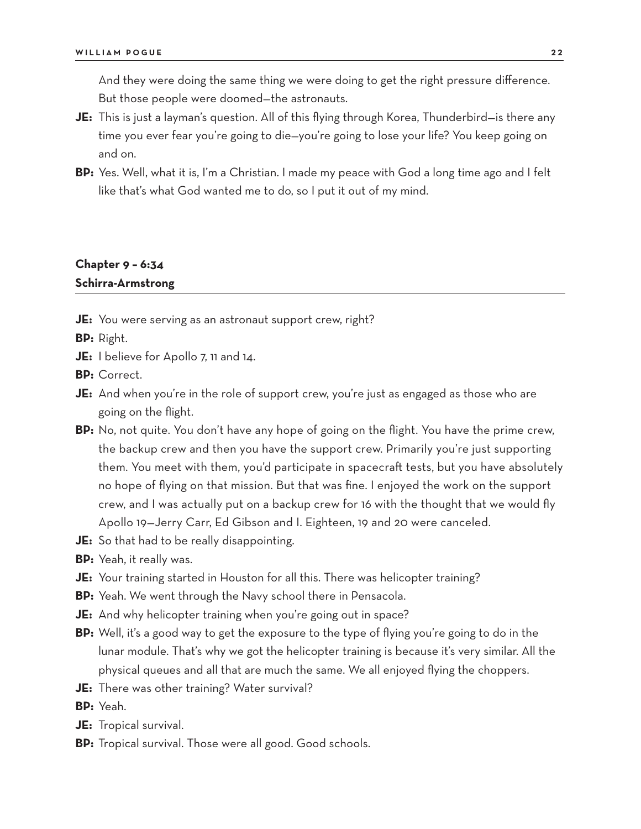And they were doing the same thing we were doing to get the right pressure difference. But those people were doomed—the astronauts.

- **JE:** This is just a layman's question. All of this flying through Korea, Thunderbird—is there any time you ever fear you're going to die—you're going to lose your life? You keep going on and on.
- **BP:** Yes. Well, what it is, I'm a Christian. I made my peace with God a long time ago and I felt like that's what God wanted me to do, so I put it out of my mind.

## **Chapter 9 – 6:34 Schirra-Armstrong**

**JE:** You were serving as an astronaut support crew, right?

**BP:** Right.

- **JE:** I believe for Apollo 7, 11 and 14.
- **BP:** Correct.
- **JE:** And when you're in the role of support crew, you're just as engaged as those who are going on the flight.
- **BP:** No, not quite. You don't have any hope of going on the flight. You have the prime crew, the backup crew and then you have the support crew. Primarily you're just supporting them. You meet with them, you'd participate in spacecraft tests, but you have absolutely no hope of flying on that mission. But that was fine. I enjoyed the work on the support crew, and I was actually put on a backup crew for 16 with the thought that we would fly Apollo 19—Jerry Carr, Ed Gibson and I. Eighteen, 19 and 20 were canceled.
- **JE:** So that had to be really disappointing.
- **BP:** Yeah, it really was.
- **JE:** Your training started in Houston for all this. There was helicopter training?
- **BP:** Yeah. We went through the Navy school there in Pensacola.
- **JE:** And why helicopter training when you're going out in space?
- **BP:** Well, it's a good way to get the exposure to the type of flying you're going to do in the lunar module. That's why we got the helicopter training is because it's very similar. All the physical queues and all that are much the same. We all enjoyed flying the choppers.
- **JE:** There was other training? Water survival?
- **BP:** Yeah.
- **JE:** Tropical survival.
- **BP:** Tropical survival. Those were all good. Good schools.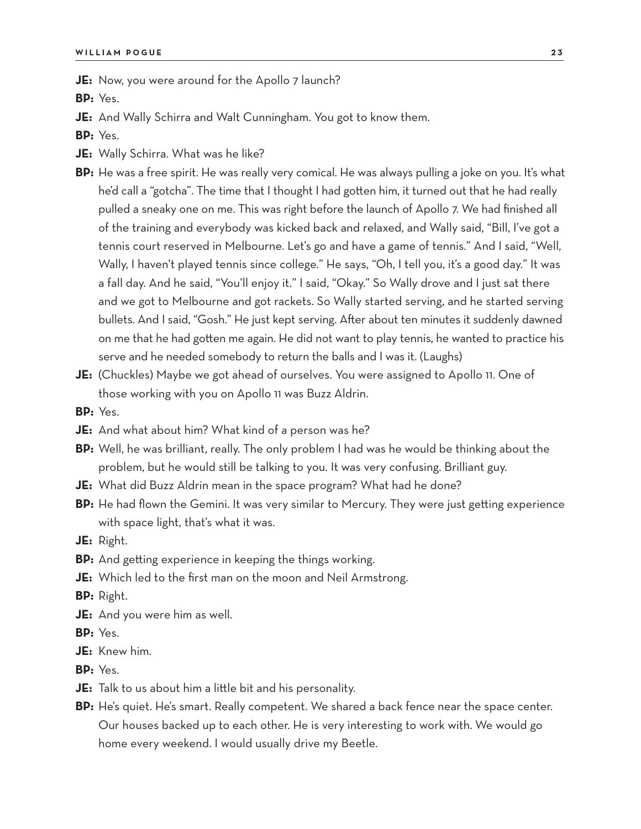**JE:** Now, you were around for the Apollo 7 launch?

**BP:** Yes.

**JE:** And Wally Schirra and Walt Cunningham. You got to know them.

**BP:** Yes.

- **JE:** Wally Schirra. What was he like?
- **BP:** He was a free spirit. He was really very comical. He was always pulling a joke on you. It's what he'd call a "gotcha". The time that I thought I had gotten him, it turned out that he had really pulled a sneaky one on me. This was right before the launch of Apollo 7. We had finished all of the training and everybody was kicked back and relaxed, and Wally said, "Bill, I've got a tennis court reserved in Melbourne. Let's go and have a game of tennis." And I said, "Well, Wally, I haven't played tennis since college." He says, "Oh, I tell you, it's a good day." It was a fall day. And he said, "You'll enjoy it." I said, "Okay." So Wally drove and I just sat there and we got to Melbourne and got rackets. So Wally started serving, and he started serving bullets. And I said, "Gosh." He just kept serving. After about ten minutes it suddenly dawned on me that he had gotten me again. He did not want to play tennis, he wanted to practice his serve and he needed somebody to return the balls and I was it. (Laughs)
- **JE:** (Chuckles) Maybe we got ahead of ourselves. You were assigned to Apollo 11. One of those working with you on Apollo 11 was Buzz Aldrin.
- **BP:** Yes.
- **JE:** And what about him? What kind of a person was he?
- **BP:** Well, he was brilliant, really. The only problem I had was he would be thinking about the problem, but he would still be talking to you. It was very confusing. Brilliant guy.
- **JE:** What did Buzz Aldrin mean in the space program? What had he done?
- **BP:** He had flown the Gemini. It was very similar to Mercury. They were just getting experience with space light, that's what it was.

**JE:** Right.

- **BP:** And getting experience in keeping the things working.
- **JE:** Which led to the first man on the moon and Neil Armstrong.

**BP:** Right.

**JE:** And you were him as well.

**BP:** Yes.

**JE:** Knew him.

**BP:** Yes.

- **JE:** Talk to us about him a little bit and his personality.
- **BP:** He's quiet. He's smart. Really competent. We shared a back fence near the space center. Our houses backed up to each other. He is very interesting to work with. We would go home every weekend. I would usually drive my Beetle.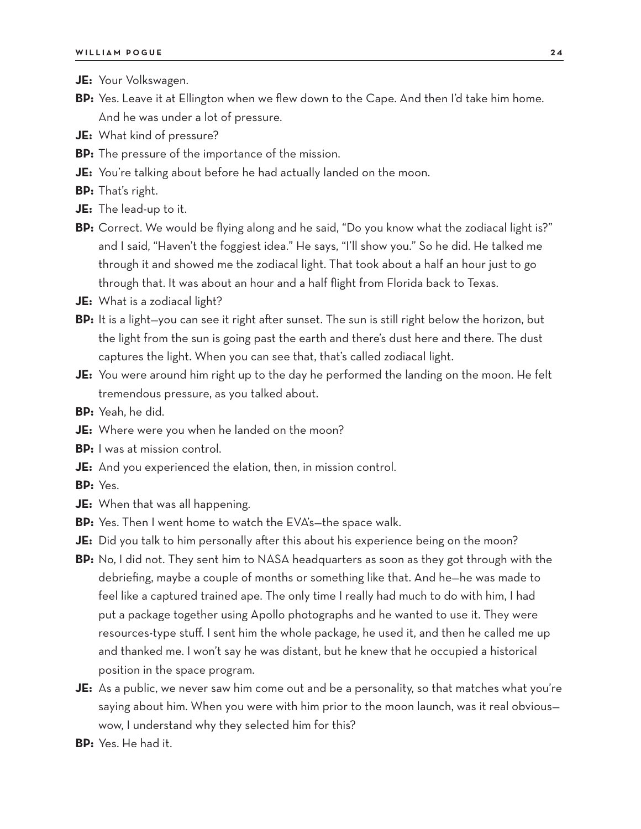- **JE:** Your Volkswagen.
- **BP:** Yes. Leave it at Ellington when we flew down to the Cape. And then I'd take him home. And he was under a lot of pressure.
- **JE:** What kind of pressure?
- **BP:** The pressure of the importance of the mission.
- **JE:** You're talking about before he had actually landed on the moon.
- **BP:** That's right.
- **JE:** The lead-up to it.
- **BP:** Correct. We would be flying along and he said, "Do you know what the zodiacal light is?" and I said, "Haven't the foggiest idea." He says, "I'll show you." So he did. He talked me through it and showed me the zodiacal light. That took about a half an hour just to go through that. It was about an hour and a half flight from Florida back to Texas.
- **JE:** What is a zodiacal light?
- **BP:** It is a light—you can see it right after sunset. The sun is still right below the horizon, but the light from the sun is going past the earth and there's dust here and there. The dust captures the light. When you can see that, that's called zodiacal light.
- **JE:** You were around him right up to the day he performed the landing on the moon. He felt tremendous pressure, as you talked about.
- **BP:** Yeah, he did.
- **JE:** Where were you when he landed on the moon?
- **BP:** I was at mission control.
- **JE:** And you experienced the elation, then, in mission control.
- **BP:** Yes.
- **JE:** When that was all happening.
- **BP:** Yes. Then I went home to watch the EVA's—the space walk.
- **JE:** Did you talk to him personally after this about his experience being on the moon?
- **BP:** No, I did not. They sent him to NASA headquarters as soon as they got through with the debriefing, maybe a couple of months or something like that. And he—he was made to feel like a captured trained ape. The only time I really had much to do with him, I had put a package together using Apollo photographs and he wanted to use it. They were resources-type stuff. I sent him the whole package, he used it, and then he called me up and thanked me. I won't say he was distant, but he knew that he occupied a historical position in the space program.
- **JE:** As a public, we never saw him come out and be a personality, so that matches what you're saying about him. When you were with him prior to the moon launch, was it real obvious wow, I understand why they selected him for this?
- **BP:** Yes. He had it.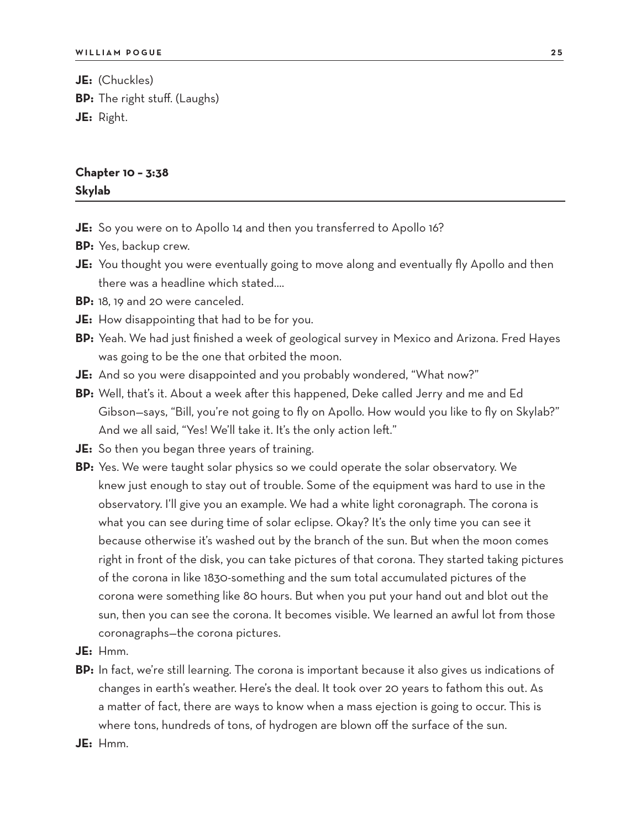**JE:** (Chuckles) **BP:** The right stuff. (Laughs) **JE:** Right.

### **Chapter 10 – 3:38 Skylab**

- **JE:** So you were on to Apollo 14 and then you transferred to Apollo 16?
- **BP:** Yes, backup crew.
- **JE:** You thought you were eventually going to move along and eventually fly Apollo and then there was a headline which stated….
- **BP:** 18, 19 and 20 were canceled.
- **JE:** How disappointing that had to be for you.
- **BP:** Yeah. We had just finished a week of geological survey in Mexico and Arizona. Fred Hayes was going to be the one that orbited the moon.
- **JE:** And so you were disappointed and you probably wondered, "What now?"
- **BP:** Well, that's it. About a week after this happened, Deke called Jerry and me and Ed Gibson—says, "Bill, you're not going to fly on Apollo. How would you like to fly on Skylab?" And we all said, "Yes! We'll take it. It's the only action left."
- **JE:** So then you began three years of training.
- **BP:** Yes. We were taught solar physics so we could operate the solar observatory. We knew just enough to stay out of trouble. Some of the equipment was hard to use in the observatory. I'll give you an example. We had a white light coronagraph. The corona is what you can see during time of solar eclipse. Okay? It's the only time you can see it because otherwise it's washed out by the branch of the sun. But when the moon comes right in front of the disk, you can take pictures of that corona. They started taking pictures of the corona in like 1830-something and the sum total accumulated pictures of the corona were something like 80 hours. But when you put your hand out and blot out the sun, then you can see the corona. It becomes visible. We learned an awful lot from those coronagraphs—the corona pictures.
- **JE:** Hmm.
- **BP:** In fact, we're still learning. The corona is important because it also gives us indications of changes in earth's weather. Here's the deal. It took over 20 years to fathom this out. As a matter of fact, there are ways to know when a mass ejection is going to occur. This is where tons, hundreds of tons, of hydrogen are blown off the surface of the sun.
- **JE:** Hmm.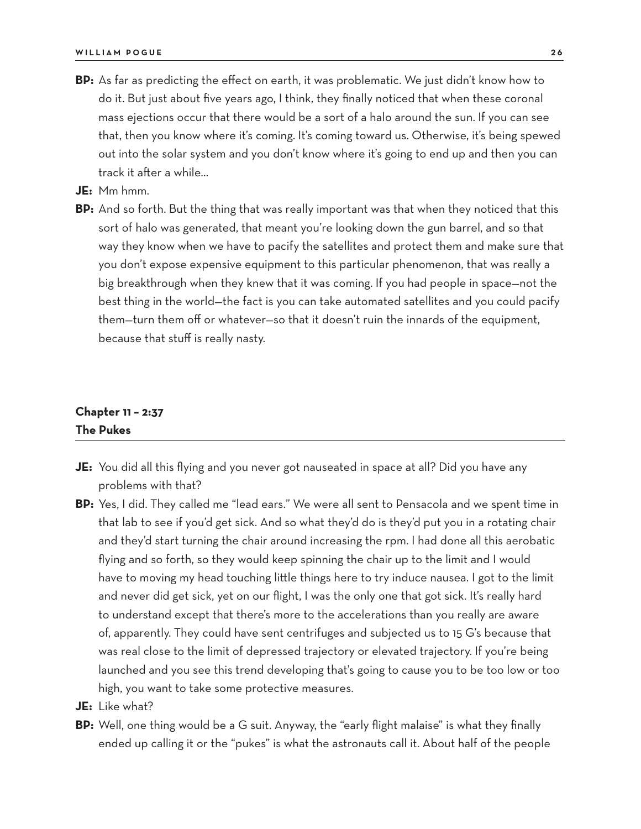- **BP:** As far as predicting the effect on earth, it was problematic. We just didn't know how to do it. But just about five years ago, I think, they finally noticed that when these coronal mass ejections occur that there would be a sort of a halo around the sun. If you can see that, then you know where it's coming. It's coming toward us. Otherwise, it's being spewed out into the solar system and you don't know where it's going to end up and then you can track it after a while…
- **JE:** Mm hmm.
- **BP:** And so forth. But the thing that was really important was that when they noticed that this sort of halo was generated, that meant you're looking down the gun barrel, and so that way they know when we have to pacify the satellites and protect them and make sure that you don't expose expensive equipment to this particular phenomenon, that was really a big breakthrough when they knew that it was coming. If you had people in space—not the best thing in the world—the fact is you can take automated satellites and you could pacify them—turn them off or whatever—so that it doesn't ruin the innards of the equipment, because that stuff is really nasty.

### **Chapter 11 – 2:37 The Pukes**

- **JE:** You did all this flying and you never got nauseated in space at all? Did you have any problems with that?
- **BP:** Yes, I did. They called me "lead ears." We were all sent to Pensacola and we spent time in that lab to see if you'd get sick. And so what they'd do is they'd put you in a rotating chair and they'd start turning the chair around increasing the rpm. I had done all this aerobatic flying and so forth, so they would keep spinning the chair up to the limit and I would have to moving my head touching little things here to try induce nausea. I got to the limit and never did get sick, yet on our flight, I was the only one that got sick. It's really hard to understand except that there's more to the accelerations than you really are aware of, apparently. They could have sent centrifuges and subjected us to 15 G's because that was real close to the limit of depressed trajectory or elevated trajectory. If you're being launched and you see this trend developing that's going to cause you to be too low or too high, you want to take some protective measures.
- **JE:** Like what?
- **BP:** Well, one thing would be a G suit. Anyway, the "early flight malaise" is what they finally ended up calling it or the "pukes" is what the astronauts call it. About half of the people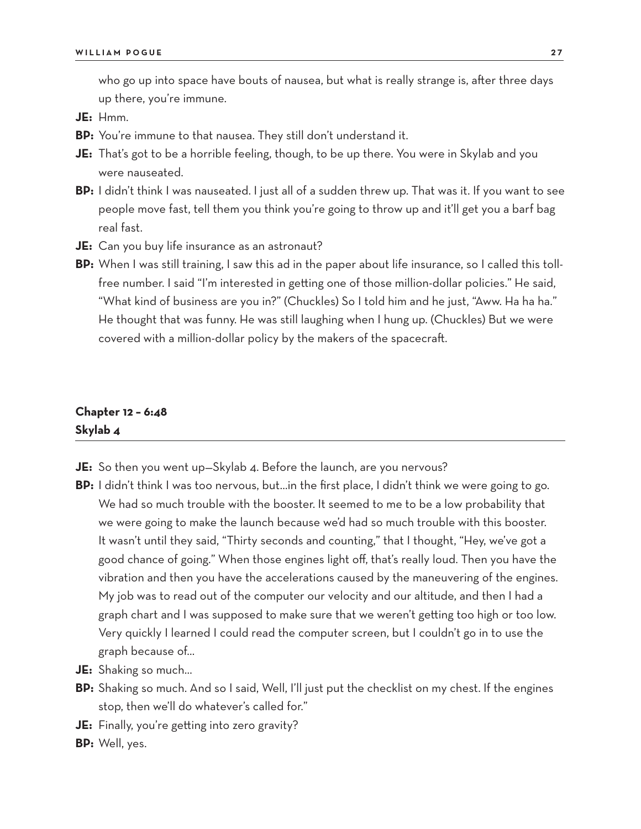who go up into space have bouts of nausea, but what is really strange is, after three days up there, you're immune.

**JE:** Hmm.

- **BP:** You're immune to that nausea. They still don't understand it.
- **JE:** That's got to be a horrible feeling, though, to be up there. You were in Skylab and you were nauseated.
- **BP:** I didn't think I was nauseated. I just all of a sudden threw up. That was it. If you want to see people move fast, tell them you think you're going to throw up and it'll get you a barf bag real fast.
- **JE:** Can you buy life insurance as an astronaut?
- **BP:** When I was still training, I saw this ad in the paper about life insurance, so I called this tollfree number. I said "I'm interested in getting one of those million-dollar policies." He said, "What kind of business are you in?" (Chuckles) So I told him and he just, "Aww. Ha ha ha." He thought that was funny. He was still laughing when I hung up. (Chuckles) But we were covered with a million-dollar policy by the makers of the spacecraft.

#### **Chapter 12 – 6:48 Skylab 4**

**JE:** So then you went up-Skylab 4. Before the launch, are you nervous?

- **BP:** I didn't think I was too nervous, but... in the first place, I didn't think we were going to go. We had so much trouble with the booster. It seemed to me to be a low probability that we were going to make the launch because we'd had so much trouble with this booster. It wasn't until they said, "Thirty seconds and counting," that I thought, "Hey, we've got a good chance of going." When those engines light off, that's really loud. Then you have the vibration and then you have the accelerations caused by the maneuvering of the engines. My job was to read out of the computer our velocity and our altitude, and then I had a graph chart and I was supposed to make sure that we weren't getting too high or too low. Very quickly I learned I could read the computer screen, but I couldn't go in to use the graph because of…
- **JE:** Shaking so much…
- **BP:** Shaking so much. And so I said, Well, I'll just put the checklist on my chest. If the engines stop, then we'll do whatever's called for."
- **JE:** Finally, you're getting into zero gravity?
- **BP:** Well, yes.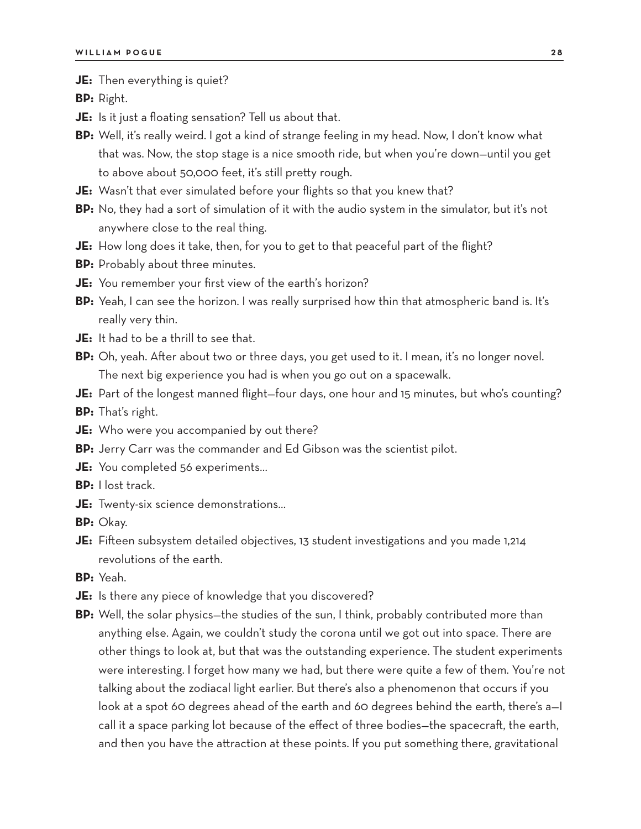**JE:** Then everything is quiet?

**BP:** Right.

**JE:** Is it just a floating sensation? Tell us about that.

**BP:** Well, it's really weird. I got a kind of strange feeling in my head. Now, I don't know what that was. Now, the stop stage is a nice smooth ride, but when you're down—until you get to above about 50,000 feet, it's still pretty rough.

- **JE:** Wasn't that ever simulated before your flights so that you knew that?
- **BP:** No, they had a sort of simulation of it with the audio system in the simulator, but it's not anywhere close to the real thing.
- **JE:** How long does it take, then, for you to get to that peaceful part of the flight?
- **BP:** Probably about three minutes.
- **JE:** You remember your first view of the earth's horizon?
- **BP:** Yeah, I can see the horizon. I was really surprised how thin that atmospheric band is. It's really very thin.
- **JE:** It had to be a thrill to see that.
- **BP:** Oh, yeah. After about two or three days, you get used to it. I mean, it's no longer novel. The next big experience you had is when you go out on a spacewalk.
- **JE:** Part of the longest manned flight—four days, one hour and 15 minutes, but who's counting?
- **BP:** That's right.
- **JE:** Who were you accompanied by out there?
- **BP:** Jerry Carr was the commander and Ed Gibson was the scientist pilot.
- **JE:** You completed 56 experiments…
- **BP:** I lost track.
- **JE:** Twenty-six science demonstrations…
- **BP:** Okay.
- **JE:** Fifteen subsystem detailed objectives, 13 student investigations and you made 1,214 revolutions of the earth.
- **BP:** Yeah.
- **JE:** Is there any piece of knowledge that you discovered?
- **BP:** Well, the solar physics—the studies of the sun, I think, probably contributed more than anything else. Again, we couldn't study the corona until we got out into space. There are other things to look at, but that was the outstanding experience. The student experiments were interesting. I forget how many we had, but there were quite a few of them. You're not talking about the zodiacal light earlier. But there's also a phenomenon that occurs if you look at a spot 60 degrees ahead of the earth and 60 degrees behind the earth, there's a—I call it a space parking lot because of the effect of three bodies—the spacecraft, the earth, and then you have the attraction at these points. If you put something there, gravitational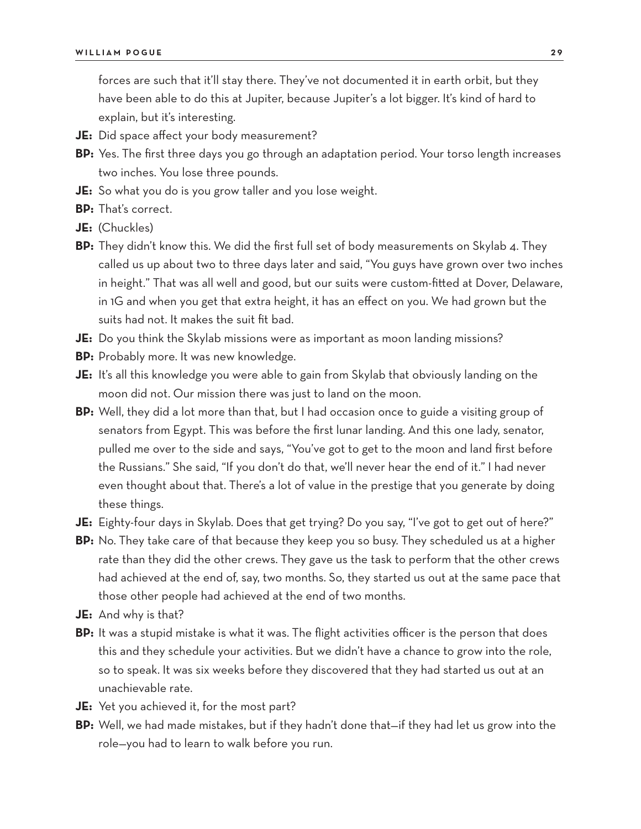forces are such that it'll stay there. They've not documented it in earth orbit, but they have been able to do this at Jupiter, because Jupiter's a lot bigger. It's kind of hard to explain, but it's interesting.

- **JE:** Did space affect your body measurement?
- **BP:** Yes. The first three days you go through an adaptation period. Your torso length increases two inches. You lose three pounds.
- **JE:** So what you do is you grow taller and you lose weight.
- **BP:** That's correct.
- **JE:** (Chuckles)
- **BP:** They didn't know this. We did the first full set of body measurements on Skylab 4. They called us up about two to three days later and said, "You guys have grown over two inches in height." That was all well and good, but our suits were custom-fitted at Dover, Delaware, in 1G and when you get that extra height, it has an effect on you. We had grown but the suits had not. It makes the suit fit bad.
- **JE:** Do you think the Skylab missions were as important as moon landing missions?
- **BP:** Probably more. It was new knowledge.
- **JE:** It's all this knowledge you were able to gain from Skylab that obviously landing on the moon did not. Our mission there was just to land on the moon.
- **BP:** Well, they did a lot more than that, but I had occasion once to guide a visiting group of senators from Egypt. This was before the first lunar landing. And this one lady, senator, pulled me over to the side and says, "You've got to get to the moon and land first before the Russians." She said, "If you don't do that, we'll never hear the end of it." I had never even thought about that. There's a lot of value in the prestige that you generate by doing these things.
- **JE:** Eighty-four days in Skylab. Does that get trying? Do you say, "I've got to get out of here?"
- **BP:** No. They take care of that because they keep you so busy. They scheduled us at a higher rate than they did the other crews. They gave us the task to perform that the other crews had achieved at the end of, say, two months. So, they started us out at the same pace that those other people had achieved at the end of two months.
- **JE:** And why is that?
- **BP:** It was a stupid mistake is what it was. The flight activities officer is the person that does this and they schedule your activities. But we didn't have a chance to grow into the role, so to speak. It was six weeks before they discovered that they had started us out at an unachievable rate.
- **JE:** Yet you achieved it, for the most part?
- **BP:** Well, we had made mistakes, but if they hadn't done that—if they had let us grow into the role—you had to learn to walk before you run.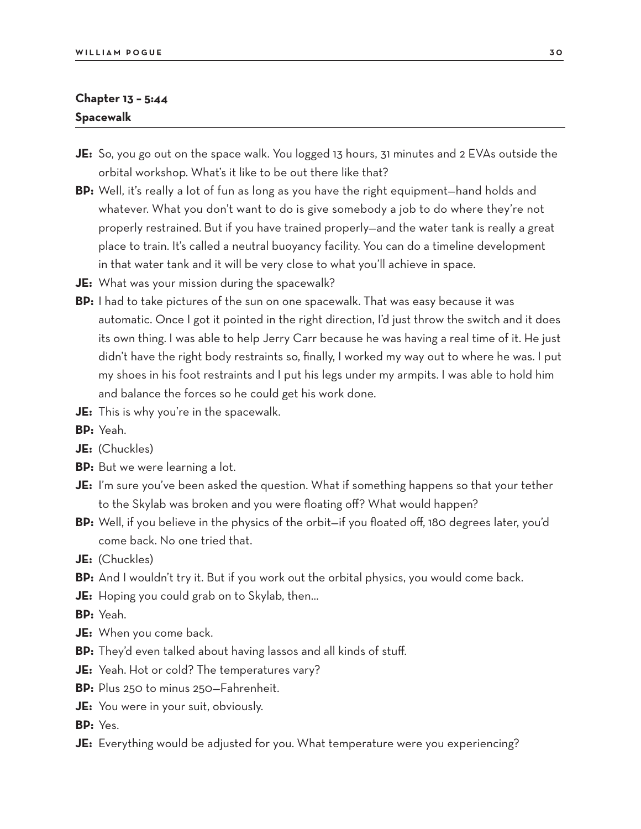#### **Chapter 13 – 5:44 Spacewalk**

- **JE:** So, you go out on the space walk. You logged 13 hours, 31 minutes and 2 EVAs outside the orbital workshop. What's it like to be out there like that?
- **BP:** Well, it's really a lot of fun as long as you have the right equipment—hand holds and whatever. What you don't want to do is give somebody a job to do where they're not properly restrained. But if you have trained properly—and the water tank is really a great place to train. It's called a neutral buoyancy facility. You can do a timeline development in that water tank and it will be very close to what you'll achieve in space.
- **JE:** What was your mission during the spacewalk?
- **BP:** I had to take pictures of the sun on one spacewalk. That was easy because it was automatic. Once I got it pointed in the right direction, I'd just throw the switch and it does its own thing. I was able to help Jerry Carr because he was having a real time of it. He just didn't have the right body restraints so, finally, I worked my way out to where he was. I put my shoes in his foot restraints and I put his legs under my armpits. I was able to hold him and balance the forces so he could get his work done.
- **JE:** This is why you're in the spacewalk.
- **BP:** Yeah.
- **JE:** (Chuckles)
- **BP:** But we were learning a lot.
- **JE:** I'm sure you've been asked the question. What if something happens so that your tether to the Skylab was broken and you were floating off? What would happen?
- **BP:** Well, if you believe in the physics of the orbit—if you floated off, 180 degrees later, you'd come back. No one tried that.
- **JE:** (Chuckles)
- **BP:** And I wouldn't try it. But if you work out the orbital physics, you would come back.
- **JE:** Hoping you could grab on to Skylab, then…
- **BP:** Yeah.
- **JE:** When you come back.
- **BP:** They'd even talked about having lassos and all kinds of stuff.
- **JE:** Yeah. Hot or cold? The temperatures vary?
- **BP:** Plus 250 to minus 250—Fahrenheit.
- **JE:** You were in your suit, obviously.
- **BP:** Yes.
- **JE:** Everything would be adjusted for you. What temperature were you experiencing?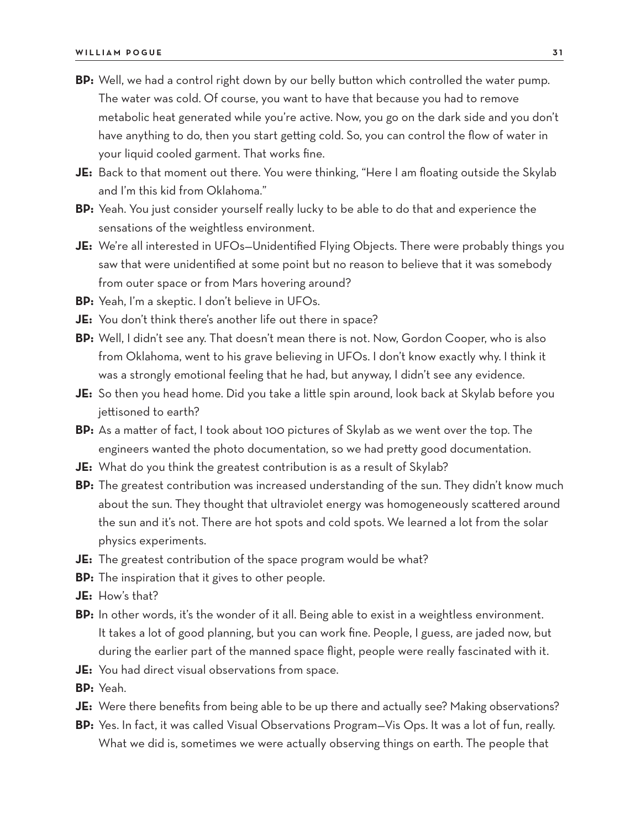- **BP:** Well, we had a control right down by our belly button which controlled the water pump. The water was cold. Of course, you want to have that because you had to remove metabolic heat generated while you're active. Now, you go on the dark side and you don't have anything to do, then you start getting cold. So, you can control the flow of water in your liquid cooled garment. That works fine.
- **JE:** Back to that moment out there. You were thinking, "Here I am floating outside the Skylab and I'm this kid from Oklahoma."
- **BP:** Yeah. You just consider yourself really lucky to be able to do that and experience the sensations of the weightless environment.
- **JE:** We're all interested in UFOs—Unidentified Flying Objects. There were probably things you saw that were unidentified at some point but no reason to believe that it was somebody from outer space or from Mars hovering around?

**BP:** Yeah, I'm a skeptic. I don't believe in UFOs.

- **JE:** You don't think there's another life out there in space?
- **BP:** Well, I didn't see any. That doesn't mean there is not. Now, Gordon Cooper, who is also from Oklahoma, went to his grave believing in UFOs. I don't know exactly why. I think it was a strongly emotional feeling that he had, but anyway, I didn't see any evidence.
- **JE:** So then you head home. Did you take a little spin around, look back at Skylab before you jettisoned to earth?
- **BP:** As a matter of fact, I took about 100 pictures of Skylab as we went over the top. The engineers wanted the photo documentation, so we had pretty good documentation.
- **JE:** What do you think the greatest contribution is as a result of Skylab?
- **BP:** The greatest contribution was increased understanding of the sun. They didn't know much about the sun. They thought that ultraviolet energy was homogeneously scattered around the sun and it's not. There are hot spots and cold spots. We learned a lot from the solar physics experiments.
- **JE:** The greatest contribution of the space program would be what?
- **BP:** The inspiration that it gives to other people.
- **JE:** How's that?
- **BP:** In other words, it's the wonder of it all. Being able to exist in a weightless environment. It takes a lot of good planning, but you can work fine. People, I guess, are jaded now, but during the earlier part of the manned space flight, people were really fascinated with it.
- **JE:** You had direct visual observations from space.
- **BP:** Yeah.
- **JE:** Were there benefits from being able to be up there and actually see? Making observations?
- **BP:** Yes. In fact, it was called Visual Observations Program—Vis Ops. It was a lot of fun, really. What we did is, sometimes we were actually observing things on earth. The people that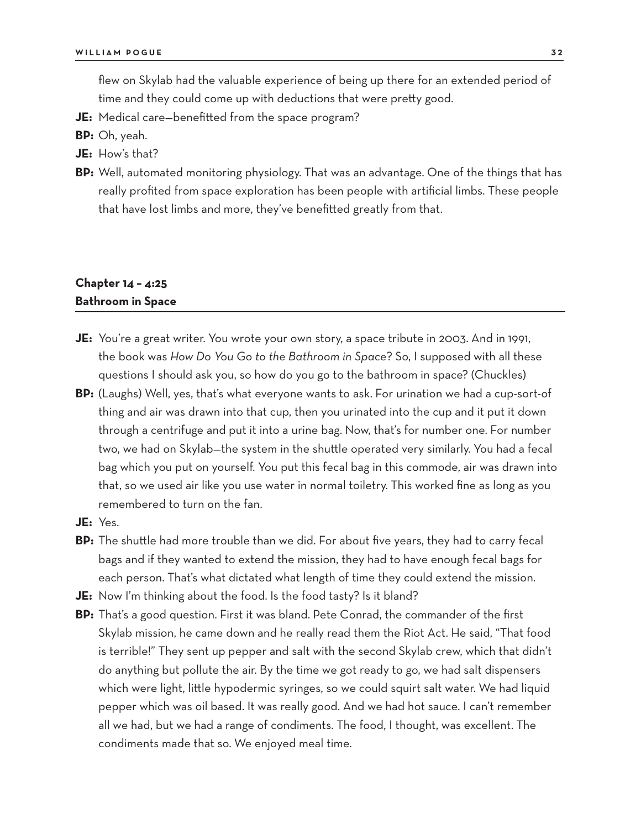flew on Skylab had the valuable experience of being up there for an extended period of time and they could come up with deductions that were pretty good.

- **JE:** Medical care—benefitted from the space program?
- **BP:** Oh, yeah.
- **JE:** How's that?
- **BP:** Well, automated monitoring physiology. That was an advantage. One of the things that has really profited from space exploration has been people with artificial limbs. These people that have lost limbs and more, they've benefitted greatly from that.

## **Chapter 14 – 4:25 Bathroom in Space**

- **JE:** You're a great writer. You wrote your own story, a space tribute in 2003. And in 1991, the book was *How Do You Go to the Bathroom in Space*? So, I supposed with all these questions I should ask you, so how do you go to the bathroom in space? (Chuckles)
- **BP:** (Laughs) Well, yes, that's what everyone wants to ask. For urination we had a cup-sort-of thing and air was drawn into that cup, then you urinated into the cup and it put it down through a centrifuge and put it into a urine bag. Now, that's for number one. For number two, we had on Skylab—the system in the shuttle operated very similarly. You had a fecal bag which you put on yourself. You put this fecal bag in this commode, air was drawn into that, so we used air like you use water in normal toiletry. This worked fine as long as you remembered to turn on the fan.
- **JE:** Yes.
- **BP:** The shuttle had more trouble than we did. For about five years, they had to carry fecal bags and if they wanted to extend the mission, they had to have enough fecal bags for each person. That's what dictated what length of time they could extend the mission.
- **JE:** Now I'm thinking about the food. Is the food tasty? Is it bland?
- **BP:** That's a good question. First it was bland. Pete Conrad, the commander of the first Skylab mission, he came down and he really read them the Riot Act. He said, "That food is terrible!" They sent up pepper and salt with the second Skylab crew, which that didn't do anything but pollute the air. By the time we got ready to go, we had salt dispensers which were light, little hypodermic syringes, so we could squirt salt water. We had liquid pepper which was oil based. It was really good. And we had hot sauce. I can't remember all we had, but we had a range of condiments. The food, I thought, was excellent. The condiments made that so. We enjoyed meal time.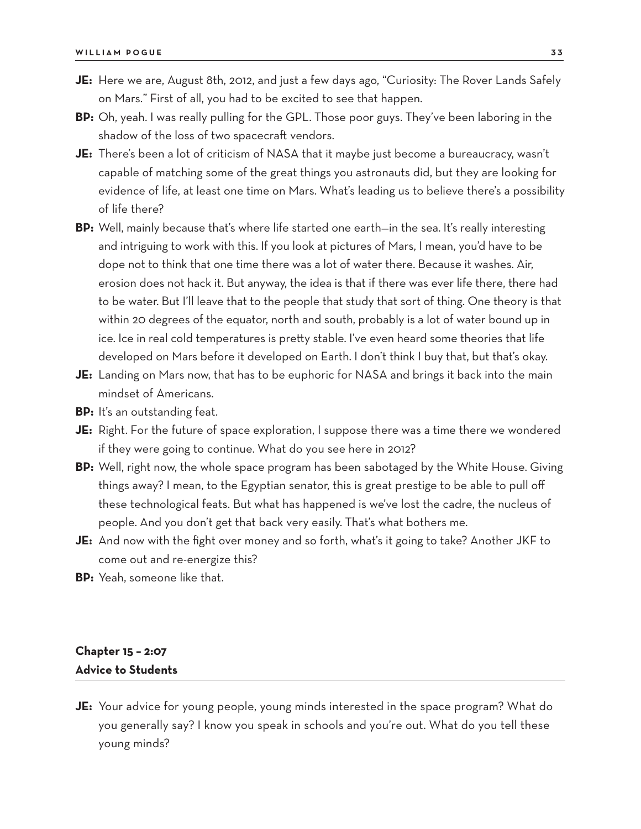- **JE:** Here we are, August 8th, 2012, and just a few days ago, "Curiosity: The Rover Lands Safely on Mars." First of all, you had to be excited to see that happen.
- **BP:** Oh, yeah. I was really pulling for the GPL. Those poor guys. They've been laboring in the shadow of the loss of two spacecraft vendors.
- **JE:** There's been a lot of criticism of NASA that it maybe just become a bureaucracy, wasn't capable of matching some of the great things you astronauts did, but they are looking for evidence of life, at least one time on Mars. What's leading us to believe there's a possibility of life there?
- **BP:** Well, mainly because that's where life started one earth—in the sea. It's really interesting and intriguing to work with this. If you look at pictures of Mars, I mean, you'd have to be dope not to think that one time there was a lot of water there. Because it washes. Air, erosion does not hack it. But anyway, the idea is that if there was ever life there, there had to be water. But I'll leave that to the people that study that sort of thing. One theory is that within 20 degrees of the equator, north and south, probably is a lot of water bound up in ice. Ice in real cold temperatures is pretty stable. I've even heard some theories that life developed on Mars before it developed on Earth. I don't think I buy that, but that's okay.
- **JE:** Landing on Mars now, that has to be euphoric for NASA and brings it back into the main mindset of Americans.
- **BP:** It's an outstanding feat.
- **JE:** Right. For the future of space exploration, I suppose there was a time there we wondered if they were going to continue. What do you see here in 2012?
- **BP:** Well, right now, the whole space program has been sabotaged by the White House. Giving things away? I mean, to the Egyptian senator, this is great prestige to be able to pull off these technological feats. But what has happened is we've lost the cadre, the nucleus of people. And you don't get that back very easily. That's what bothers me.
- **JE:** And now with the fight over money and so forth, what's it going to take? Another JKF to come out and re-energize this?
- **BP:** Yeah, someone like that.

# **Chapter 15 – 2:07 Advice to Students**

**JE:** Your advice for young people, young minds interested in the space program? What do you generally say? I know you speak in schools and you're out. What do you tell these young minds?